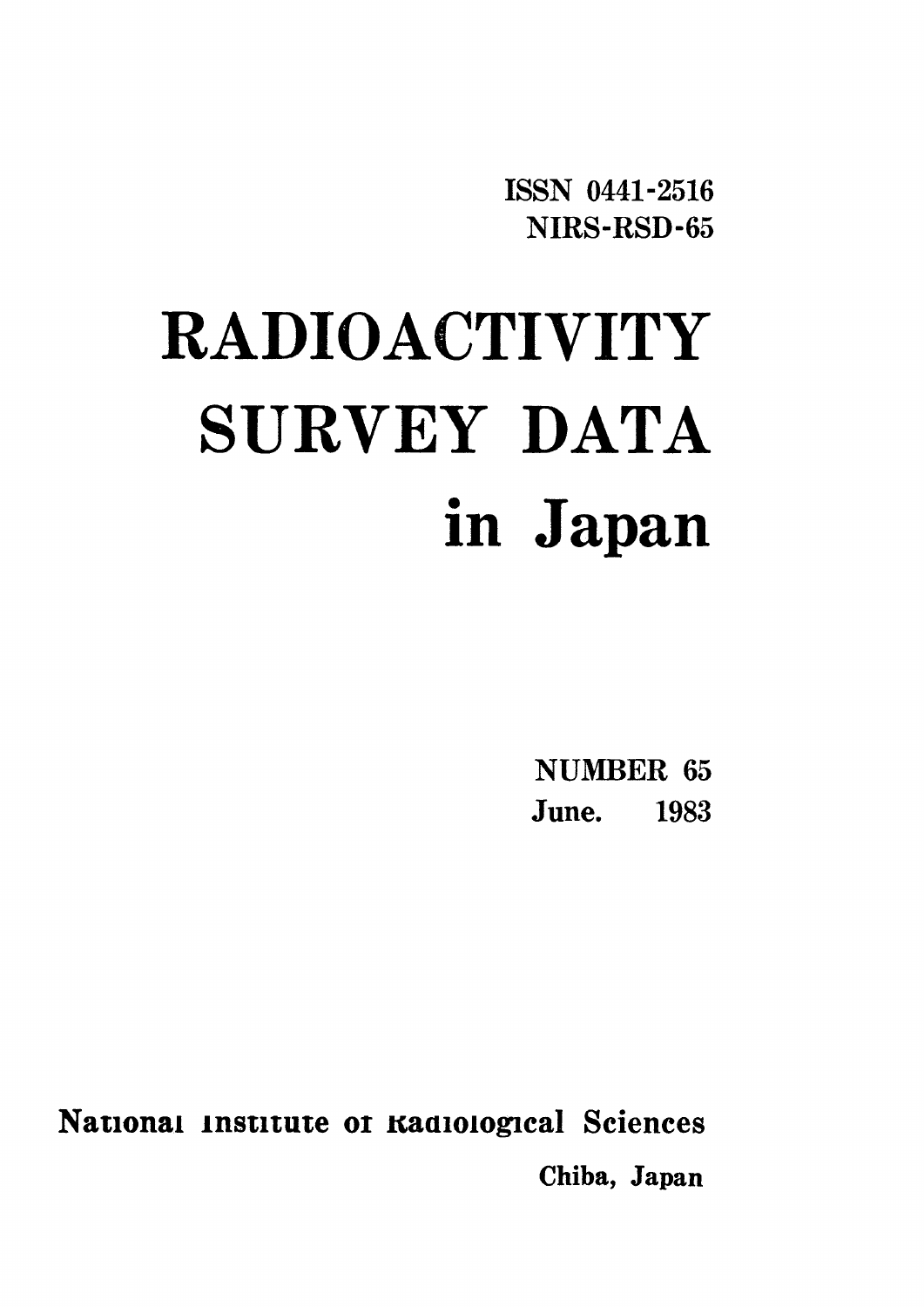ISSN 0441-2516 NIRS-RSD-65

# RADIOACTIVITY SURVEY DATA in Japan

**NUMBER 65** June. 1983

National Institute of Kadiological Sciences Chiba, Japan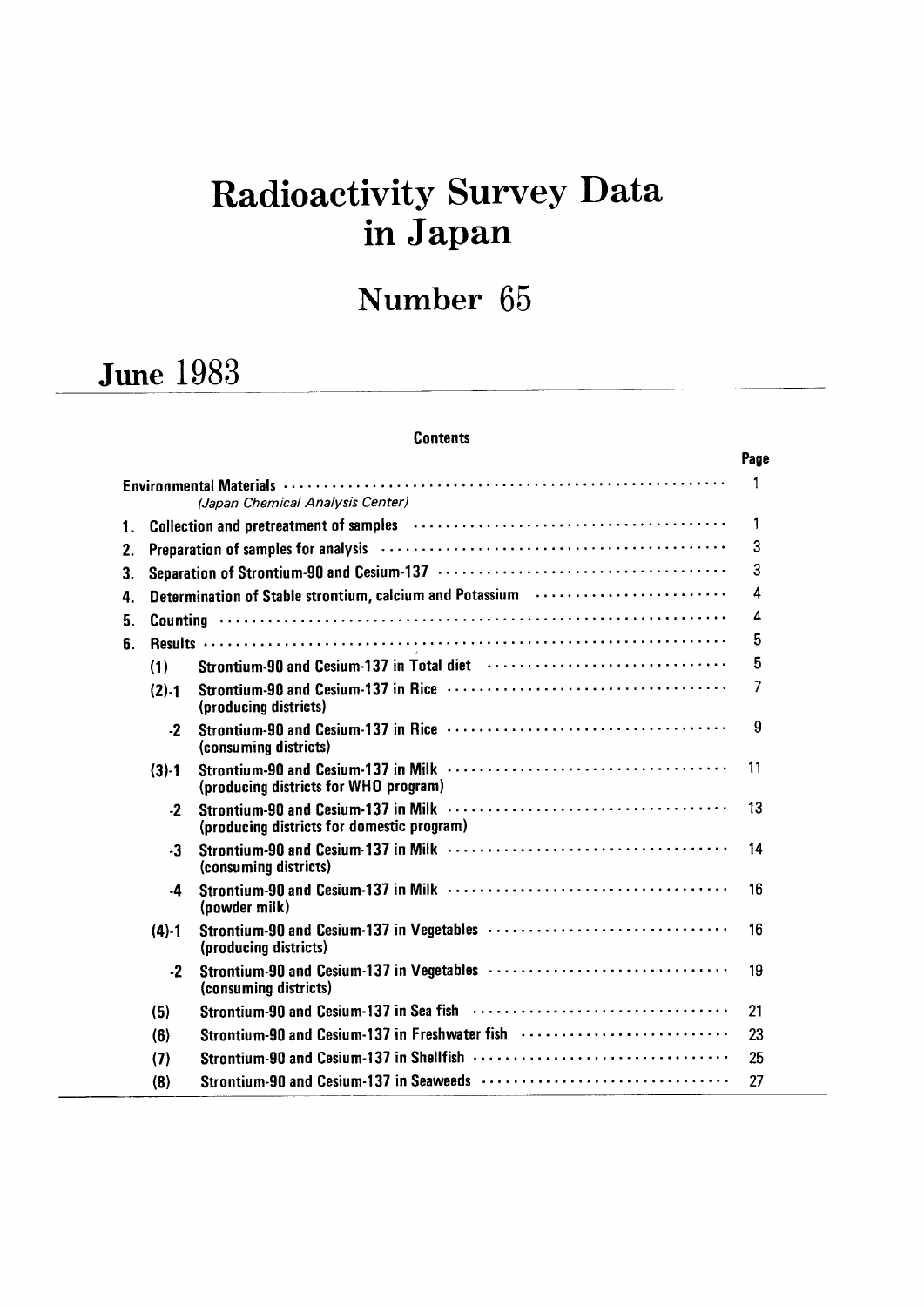# Radioactivity Survey Data inJapan

# Number 65

# **June 1983**

#### **Contents**

|    |           |                                                                                                                  | Page           |
|----|-----------|------------------------------------------------------------------------------------------------------------------|----------------|
|    |           | (Japan Chemical Analysis Center)                                                                                 | 1              |
| 1. |           | Collection and pretreatment of samples (and the context of sample support of samples (and the context of samples | 1              |
| 2. |           |                                                                                                                  | 3              |
| 3. |           |                                                                                                                  | 3              |
| 4. |           | Determination of Stable strontium, calcium and Potassium <b>Protontial International Protontial</b>              | 4              |
| 5. |           |                                                                                                                  | 4              |
| 6. |           |                                                                                                                  | 5              |
|    | (1)       | Strontium-90 and Cesium-137 in Total diet (and the state of the state of the Strontium Strong Strong Strong St   | 5              |
|    | (2).1     | (producing districts)                                                                                            | $\overline{7}$ |
|    | $-2$      | (consuming districts)                                                                                            | 9              |
|    | $(3)-1$   | (producing districts for WHO program)                                                                            | 11             |
|    | $-2$      | (producing districts for domestic program)                                                                       | 13             |
|    | $-3$      | (consuming districts)                                                                                            | 14             |
|    | $\cdot$ 4 | (powder milk)                                                                                                    | 16             |
|    | $(4) - 1$ | (producing districts)                                                                                            | 16             |
|    | $\cdot$   | (consuming districts)                                                                                            | 19             |
|    | (5)       |                                                                                                                  | 21             |
|    | (6)       | Strontium-90 and Cesium-137 in Freshwater fish                                                                   | 23             |
|    | (7)       |                                                                                                                  | 25             |
|    | (8)       |                                                                                                                  | 27             |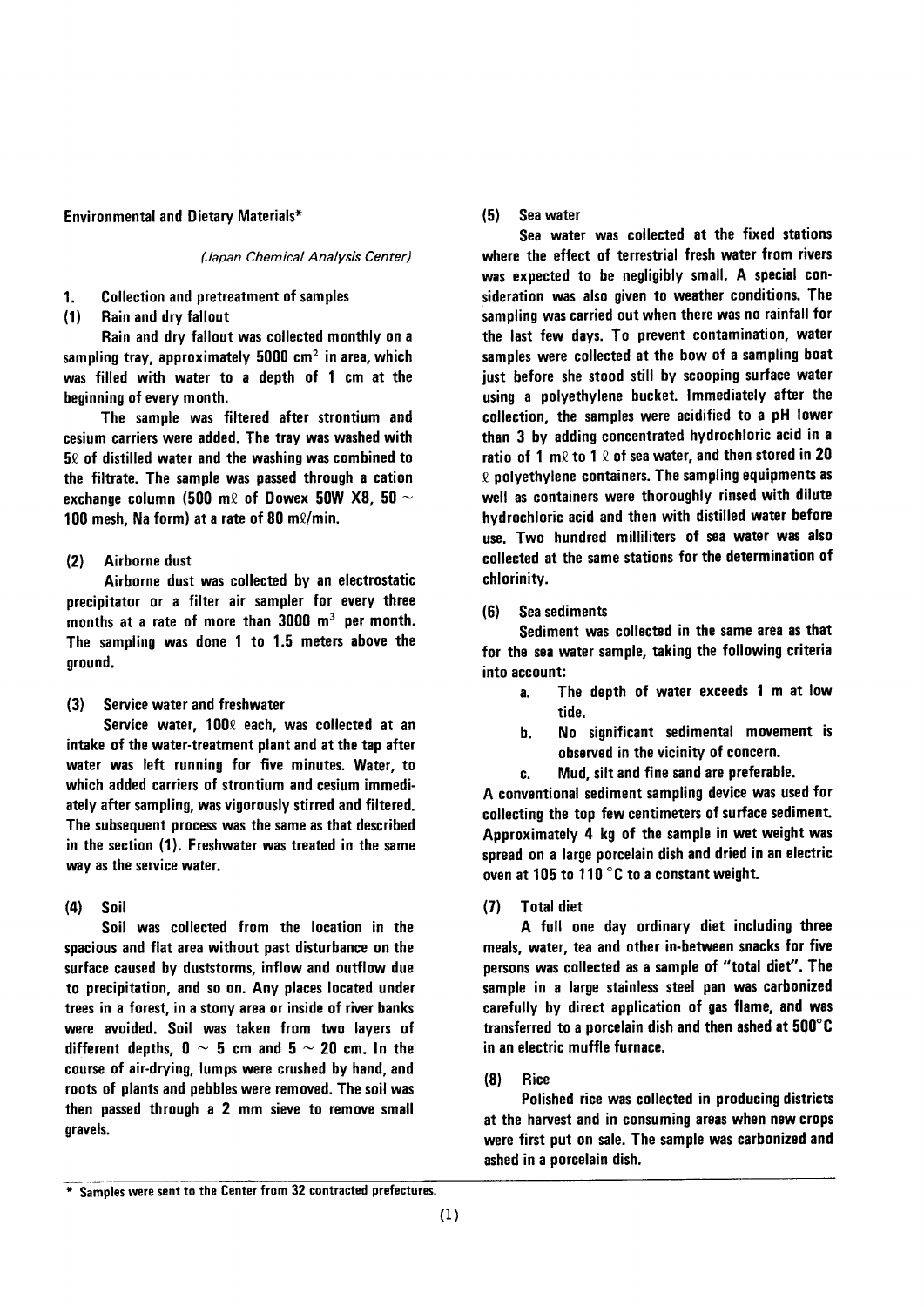#### **Environmental and Dietary Materials\***

(Japan Chemical Analysis Center)

- $1.$ **Collection and pretreatment of samples**
- Rain and dry fallout  $(1)$

Rain and dry fallout was collected monthly on a sampling tray, approximately 5000  $\text{cm}^2$  in area, which was filled with water to a depth of 1 cm at the beginning of every month.

The sample was filtered after strontium and cesium carriers were added. The tray was washed with  $5\ell$  of distilled water and the washing was combined to the filtrate. The sample was passed through a cation exchange column (500 m $\ell$  of Dowex 50W X8, 50  $\sim$ 100 mesh, Na form) at a rate of 80 ml/min.

#### Airborne dust  $(2)$

Airborne dust was collected by an electrostatic precipitator or a filter air sampler for every three months at a rate of more than 3000 m<sup>3</sup> per month. The sampling was done 1 to 1.5 meters above the ground.

 $(3)$ Service water and freshwater

Service water, 1000 each, was collected at an intake of the water-treatment plant and at the tap after water was left running for five minutes. Water, to which added carriers of strontium and cesium immediately after sampling, was vigorously stirred and filtered. The subsequent process was the same as that described in the section (1). Freshwater was treated in the same way as the service water.

#### $(4)$ Soil

Soil was collected from the location in the spacious and flat area without past disturbance on the surface caused by duststorms, inflow and outflow due to precipitation, and so on. Any places located under trees in a forest, in a stony area or inside of river banks were avoided. Soil was taken from two layers of different depths,  $0 \sim 5$  cm and  $5 \sim 20$  cm. In the course of air-drying, lumps were crushed by hand, and roots of plants and pebbles were removed. The soil was then passed through a 2 mm sieve to remove small gravels.

 $(5)$ Sea water

Sea water was collected at the fixed stations where the effect of terrestrial fresh water from rivers was expected to be negligibly small. A special consideration was also given to weather conditions. The sampling was carried out when there was no rainfall for the last few days. To prevent contamination, water samples were collected at the bow of a sampling boat just before she stood still by scooping surface water using a polyethylene bucket. Immediately after the collection, the samples were acidified to a pH lower than 3 by adding concentrated hydrochloric acid in a ratio of 1 m $\ell$  to 1  $\ell$  of sea water, and then stored in 20  $\ell$  polyethylene containers. The sampling equipments as well as containers were thoroughly rinsed with dilute hydrochloric acid and then with distilled water before use. Two hundred milliliters of sea water was also collected at the same stations for the determination of chlorinity.

Sea sediments  $(6)$ 

Sediment was collected in the same area as that for the sea water sample, taking the following criteria into account:

- The depth of water exceeds 1 m at low  $a$ . tide.
- No significant sedimental movement is b. observed in the vicinity of concern.
- Mud, silt and fine sand are preferable. c.

A conventional sediment sampling device was used for collecting the top few centimeters of surface sediment. Approximately 4 kg of the sample in wet weight was spread on a large porcelain dish and dried in an electric oven at 105 to 110 °C to a constant weight.

 $(7)$ **Total diet** 

A full one day ordinary diet including three meals, water, tea and other in-between snacks for five persons was collected as a sample of "total diet". The sample in a large stainless steel pan was carbonized carefully by direct application of gas flame, and was transferred to a porcelain dish and then ashed at 500°C in an electric muffle furnace.

 $(8)$ Rice

Polished rice was collected in producing districts at the harvest and in consuming areas when new crops were first put on sale. The sample was carbonized and ashed in a porcelain dish.

<sup>\*</sup> Samples were sent to the Center from 32 contracted prefectures.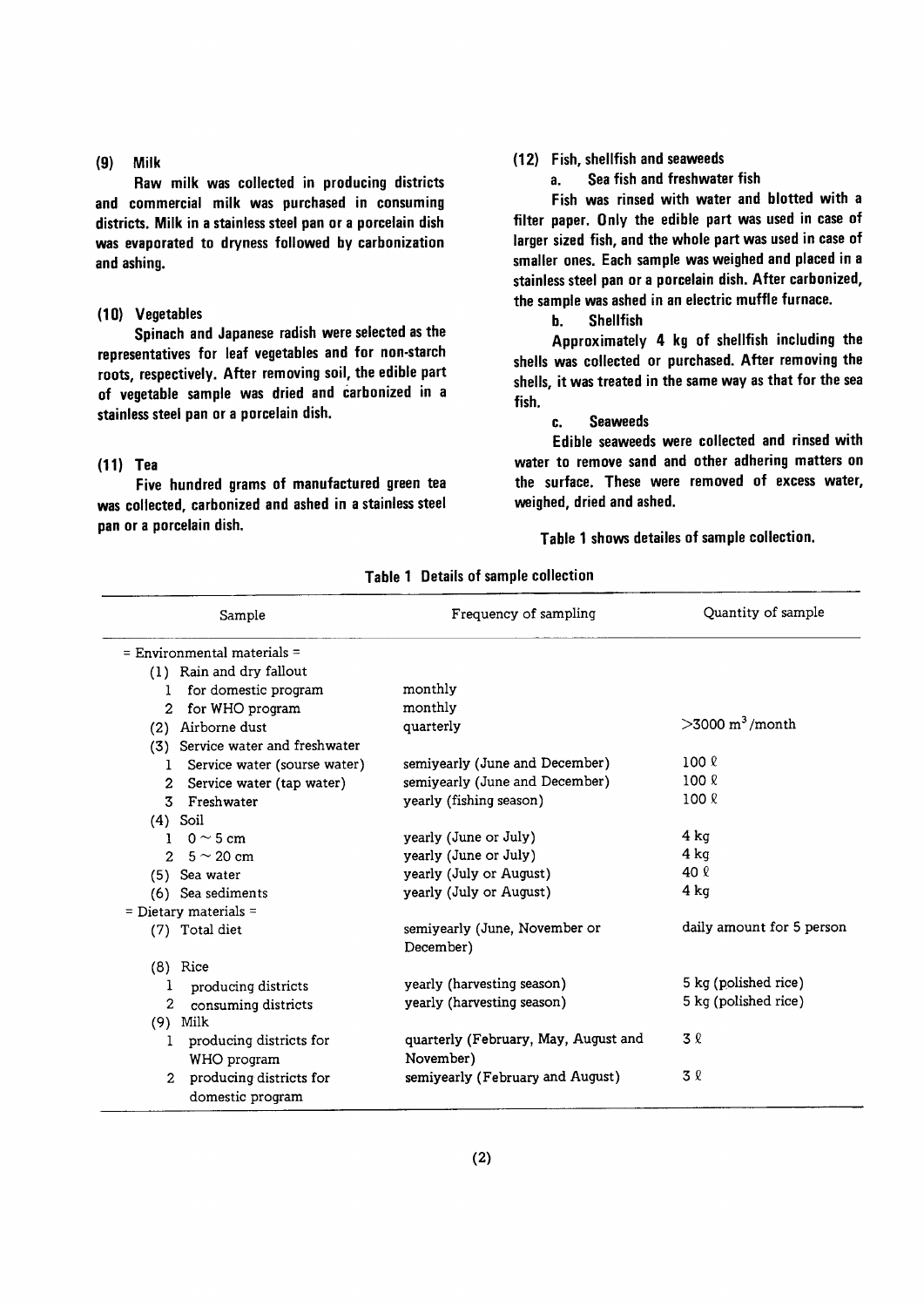#### (9) Milk

Raw milk was collected in producing districts and commercial milk was purchased in consuming districts. Milk in a stainless steel pan or a porcelain dish was evaporated to dryness followed by carbonization and ashing.

#### (10) Vegetables

Spinach and Japanese radish were selected as the representatives for leaf vegetables and for non-starch roots, respectively. After removing soil, the edible part of vegetable sample was dried and carbonized in a stainless steel pan or a porcelain dish.

#### $(11)$  Tea

Five hundred grams of manufactured green tea was collected, carbonized and ashed in a stainless steel pan or a porcelain dish.

#### (12) Fish, shellfish and seaweeds

a. Sea fish and freshwater fish

Fish was rinsed with water and blotted with a filter paper. Only the edible part was used in case of larger sized fish, and the whole part was used in case of smaller ones. Each sample was weighed and placed in a stainless steel pan or a porcelain dish. After carbonized, the sample was ashed in an electric muffle furnace.

#### b. Shellfish

Approximately 4 kg of shellfish including the shells was collected or purchased. After removing the shells, it was treated in the same way as that for the sea fish.

#### c. Seaweeds

Edible seaweeds were collected and rinsed with water to remove sand and other adhering matters on the surface. These were removed of excess water, weighed, dried and ashed.

Table 1 shows detailes of sample collection.

|               | Sample                                      | Frequency of sampling                      | Quantity of sample         |
|---------------|---------------------------------------------|--------------------------------------------|----------------------------|
|               | $=$ Environmental materials $=$             |                                            |                            |
|               | (1) Rain and dry fallout                    |                                            |                            |
| T.            | for domestic program                        | monthly                                    |                            |
| 2             | for WHO program                             | monthly                                    |                            |
|               | (2) Airborne dust                           | quarterly                                  | $>3000 \text{ m}^3$ /month |
| (3)           | Service water and freshwater                |                                            |                            |
| L             | Service water (sourse water)                | semiyearly (June and December)             | $100 \ell$                 |
| $\mathbf{2}$  | Service water (tap water)                   | semiyearly (June and December)             | $100 \ell$                 |
| 3             | Freshwater                                  | yearly (fishing season)                    | 100 <sub>8</sub>           |
|               | $(4)$ Soil                                  |                                            |                            |
|               | 1 0 $\sim$ 5 cm                             | yearly (June or July)                      | 4 ka                       |
| $2^{\circ}$   | $5 \sim 20$ cm                              | yearly (June or July)                      | 4 ka                       |
|               | (5) Sea water                               | yearly (July or August)                    | 40 l                       |
|               | (6) Sea sediments                           | vearly (July or August)                    | $4$ kg                     |
|               | $=$ Dietary materials $=$                   |                                            |                            |
|               | (7) Total diet                              | semiyearly (June, November or<br>December) | daily amount for 5 person  |
|               | $(8)$ Rice                                  |                                            |                            |
| 1             | producing districts                         | yearly (harvesting season)                 | 5 kg (polished rice)       |
| 2             | consuming districts                         | yearly (harvesting season)                 | 5 kg (polished rice)       |
| (9)           | Milk                                        |                                            |                            |
| 1             | producing districts for                     | quarterly (February, May, August and       | 3 Q                        |
|               | WHO program                                 | November)                                  |                            |
| $\mathcal{D}$ | producing districts for<br>domestic program | semiyearly (February and August)           | 3 2                        |

Table 1 Details of sample collection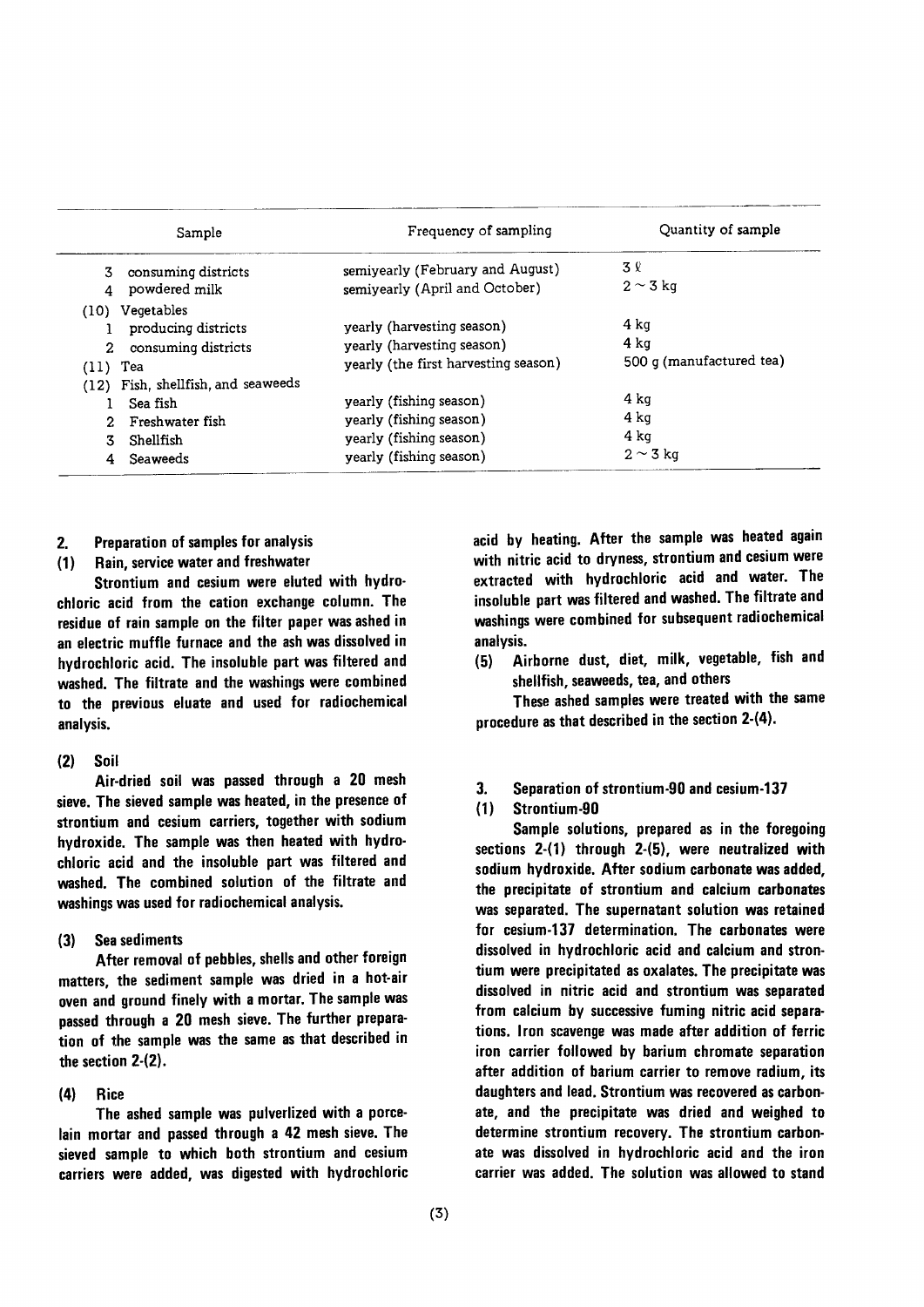|                  | Sample                                                                                     | Frequency of sampling                                                                                    | Quantity of sample                       |
|------------------|--------------------------------------------------------------------------------------------|----------------------------------------------------------------------------------------------------------|------------------------------------------|
| 3.               | consuming districts<br>powdered milk                                                       | semiyearly (February and August)<br>semiyearly (April and October)                                       | 3 R<br>$2 \sim 3$ kg                     |
| 2.<br>$(11)$ Tea | (10) Vegetables<br>producing districts<br>consuming districts                              | yearly (harvesting season)<br>yearly (harvesting season)<br>yearly (the first harvesting season)         | 4 ka<br>4 ka<br>500 g (manufactured tea) |
|                  | (12) Fish, shellfish, and seaweeds<br>Sea fish<br>Freshwater fish<br>Shellfish<br>Seaweeds | yearly (fishing season)<br>yearly (fishing season)<br>yearly (fishing season)<br>yearly (fishing season) | 4 ka<br>4 ka<br>4 ka<br>$2 \sim 3$ kg    |

- $2.$ Preparation of samples for analysis
- Rain, service water and freshwater  $(1)$

Strontium and cesium were eluted with hydrochloric acid from the cation exchange column. The residue of rain sample on the filter paper was ashed in an electric muffle furnace and the ash was dissolved in hydrochloric acid. The insoluble part was filtered and washed. The filtrate and the washings were combined to the previous eluate and used for radiochemical analysis.

#### Soil  $(2)$

Air-dried soil was passed through a 20 mesh sieve. The sieved sample was heated, in the presence of strontium and cesium carriers, together with sodium hydroxide. The sample was then heated with hydrochloric acid and the insoluble part was filtered and washed. The combined solution of the filtrate and washings was used for radiochemical analysis.

**Sea sediments**  $(3)$ 

After removal of pebbles, shells and other foreign matters, the sediment sample was dried in a hot-air oven and ground finely with a mortar. The sample was passed through a 20 mesh sieve. The further preparation of the sample was the same as that described in the section 2-(2).

#### $(4)$ **Rice**

The ashed sample was pulverlized with a porcelain mortar and passed through a 42 mesh sieve. The sieved sample to which both strontium and cesium carriers were added, was digested with hydrochloric acid by heating. After the sample was heated again with nitric acid to dryness, strontium and cesium were extracted with hydrochloric acid and water. The insoluble part was filtered and washed. The filtrate and washings were combined for subsequent radiochemical analysis.

Airborne dust, diet, milk, vegetable, fish and  $(5)$ shellfish, seaweeds, tea, and others

These ashed samples were treated with the same procedure as that described in the section 2-(4).

Separation of strontium-90 and cesium-137 3.

#### Strontium-90  $(1)$

Sample solutions, prepared as in the foregoing sections 2-(1) through 2-(5), were neutralized with sodium hydroxide. After sodium carbonate was added, the precipitate of strontium and calcium carbonates was separated. The supernatant solution was retained for cesium-137 determination. The carbonates were dissolved in hydrochloric acid and calcium and strontium were precipitated as oxalates. The precipitate was dissolved in nitric acid and strontium was separated from calcium by successive fuming nitric acid separations. Iron scavenge was made after addition of ferric iron carrier followed by barium chromate separation after addition of barium carrier to remove radium, its daughters and lead. Strontium was recovered as carbonate, and the precipitate was dried and weighed to determine strontium recovery. The strontium carbonate was dissolved in hydrochloric acid and the iron carrier was added. The solution was allowed to stand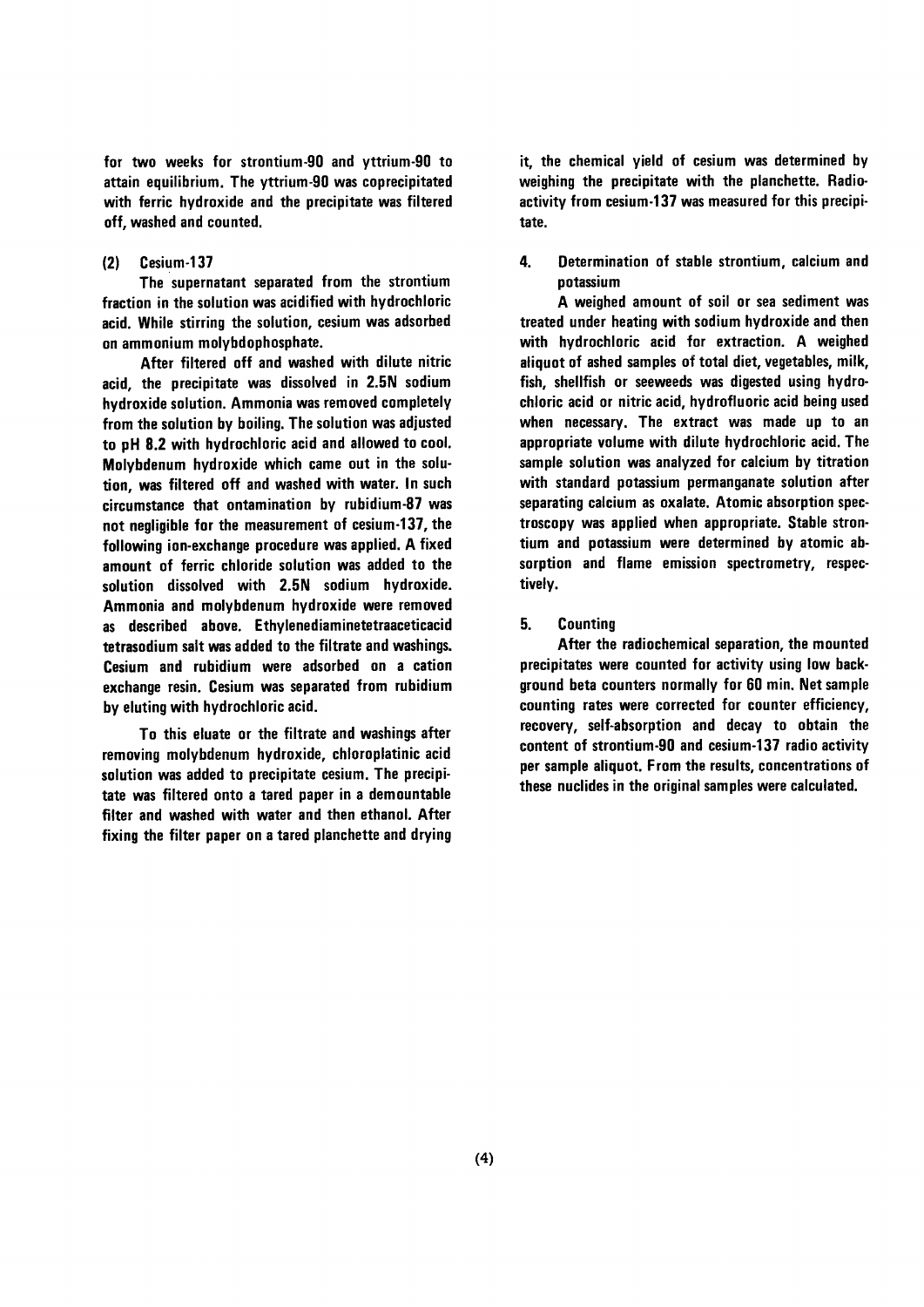for two weeks for strontium-90 and yttrium-90 to attain equilibrium. The yttrium-90 was coprecipitated with ferric hydroxide and the precipitate was filtered off, washed and counted.

#### $(2)$ Cesium-137

The supernatant separated from the strontium fraction in the solution was acidified with hydrochloric acid. While stirring the solution, cesium was adsorbed on ammonium molybdophosphate.

After filtered off and washed with dilute nitric acid, the precipitate was dissolved in 2.5N sodium hydroxide solution. Ammonia was removed completely from the solution by boiling. The solution was adjusted to pH 8.2 with hydrochloric acid and allowed to cool. Molybdenum hydroxide which came out in the solution, was filtered off and washed with water. In such circumstance that ontamination by rubidium-87 was not nealigible for the measurement of cesium-137, the following ion-exchange procedure was applied. A fixed amount of ferric chloride solution was added to the solution dissolved with 2.5N sodium hydroxide. Ammonia and molybdenum hydroxide were removed as described above. Ethylenediaminetetraaceticacid tetrasodium salt was added to the filtrate and washings. Cesium and rubidium were adsorbed on a cation exchange resin. Cesium was separated from rubidium by eluting with hydrochloric acid.

To this eluate or the filtrate and washings after removing molybdenum hydroxide, chloroplatinic acid solution was added to precipitate cesium. The precipitate was filtered onto a tared paper in a demountable filter and washed with water and then ethanol. After fixing the filter paper on a tared planchette and drying it, the chemical yield of cesium was determined by weighing the precipitate with the planchette. Radioactivity from cesium-137 was measured for this precipitate.

4. Determination of stable strontium, calcium and potassium

A weighed amount of soil or sea sediment was treated under heating with sodium hydroxide and then with hydrochloric acid for extraction. A weighed aliquot of ashed samples of total diet, vegetables, milk, fish, shellfish or seeweeds was digested using hydrochloric acid or nitric acid, hydrofluoric acid being used when necessary. The extract was made up to an appropriate volume with dilute hydrochloric acid. The sample solution was analyzed for calcium by titration with standard potassium permanganate solution after separating calcium as oxalate. Atomic absorption spectroscopy was applied when appropriate. Stable strontium and potassium were determined by atomic absorption and flame emission spectrometry, respectively.

#### 5. **Counting**

After the radiochemical separation, the mounted precipitates were counted for activity using low background beta counters normally for 60 min. Net sample counting rates were corrected for counter efficiency, recovery, self-absorption and decay to obtain the content of strontium-90 and cesium-137 radio activity per sample aliquot. From the results, concentrations of these nuclides in the original samples were calculated.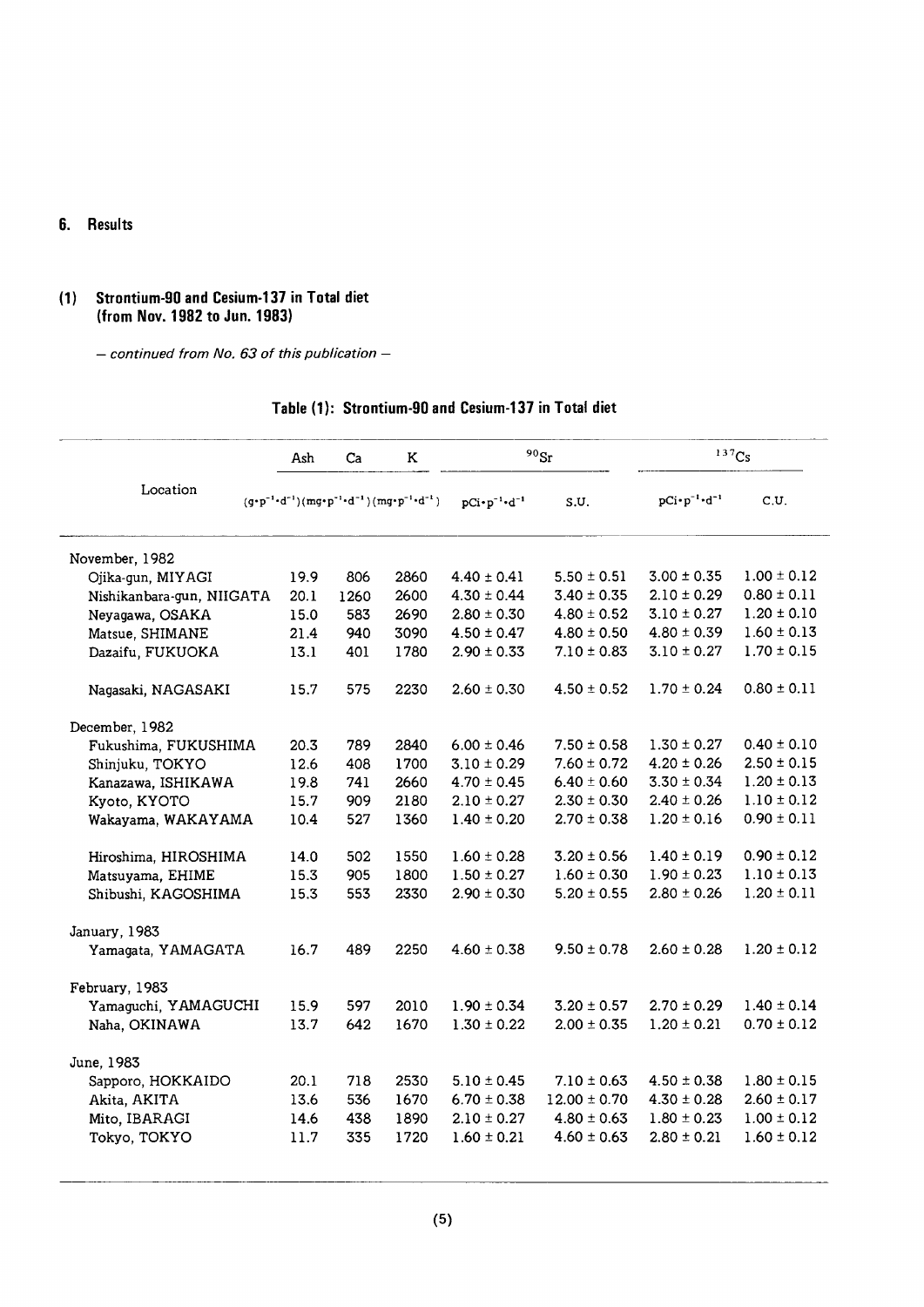#### 6. Results

#### (1) Strontium-90 and Cesium-137 in Total diet (from Nov. 1982 to Jun. 1983)

- continued from No. 63 of this publication -

|                           | Ash  | Ca   | K                                                                                                                                                                                                                                                                                                                                                                                                                       |                                 | $^{90}\rm{Sr}$   |                                 | 137Cs           |
|---------------------------|------|------|-------------------------------------------------------------------------------------------------------------------------------------------------------------------------------------------------------------------------------------------------------------------------------------------------------------------------------------------------------------------------------------------------------------------------|---------------------------------|------------------|---------------------------------|-----------------|
| Location                  |      |      | $(\mathsf{g}{\hspace{0.1em}\raisebox{0.1em}{\text{-}}\hspace{0.1em}}\mathsf{p}^{-1}{\hspace{0.1em}\raisebox{0.1em}{\text{-}}\hspace{0.1em}}\mathsf{d}^{-1})(\mathsf{m}\mathsf{g}{\hspace{0.1em}\raisebox{0.1em}{\text{-}}\hspace{0.1em}}\mathsf{p}^{-1}{\hspace{0.1em}\raisebox{0.1em}{\text{-}}\hspace{0.1em}}\mathsf{d}^{-1})\,(\mathsf{m}\mathsf{g}{\hspace{0.1em}\raisebox{0.1em}{\text{-}}\hspace{0.1em}}\mathsf{$ | $pCi \cdot p^{-1} \cdot d^{-1}$ | S.U.             | $pCi \cdot p^{-1} \cdot d^{-1}$ | C.U.            |
| November, 1982            |      |      |                                                                                                                                                                                                                                                                                                                                                                                                                         |                                 |                  |                                 |                 |
| Ojika-gun, MIYAGI         | 19.9 | 806  | 2860                                                                                                                                                                                                                                                                                                                                                                                                                    | $4.40 \pm 0.41$                 | $5.50 \pm 0.51$  | $3.00 \pm 0.35$                 | $1.00 \pm 0.12$ |
| Nishikanbara-gun, NIIGATA | 20.1 | 1260 | 2600                                                                                                                                                                                                                                                                                                                                                                                                                    | $4.30 \pm 0.44$                 | $3.40 \pm 0.35$  | $2.10 \pm 0.29$                 | $0.80 \pm 0.11$ |
| Neyagawa, OSAKA           | 15.0 | 583  | 2690                                                                                                                                                                                                                                                                                                                                                                                                                    | $2.80 \pm 0.30$                 | $4.80 \pm 0.52$  | $3.10 \pm 0.27$                 | $1.20 \pm 0.10$ |
| Matsue, SHIMANE           | 21.4 | 940  | 3090                                                                                                                                                                                                                                                                                                                                                                                                                    | $4.50 \pm 0.47$                 | $4.80 \pm 0.50$  | $4.80 \pm 0.39$                 | $1.60 \pm 0.13$ |
| Dazaifu, FUKUOKA          | 13.1 | 401  | 1780                                                                                                                                                                                                                                                                                                                                                                                                                    | $2.90 \pm 0.33$                 | $7.10 \pm 0.83$  | $3.10 \pm 0.27$                 | $1.70 \pm 0.15$ |
| Nagasaki, NAGASAKI        | 15.7 | 575  | 2230                                                                                                                                                                                                                                                                                                                                                                                                                    | $2.60 \pm 0.30$                 | $4.50 \pm 0.52$  | $1.70 \pm 0.24$                 | $0.80 \pm 0.11$ |
| December, 1982            |      |      |                                                                                                                                                                                                                                                                                                                                                                                                                         |                                 |                  |                                 |                 |
| Fukushima, FUKUSHIMA      | 20.3 | 789  | 2840                                                                                                                                                                                                                                                                                                                                                                                                                    | $6.00 \pm 0.46$                 | $7.50 \pm 0.58$  | $1.30 \pm 0.27$                 | $0.40 \pm 0.10$ |
| Shinjuku, TOKYO           | 12.6 | 408  | 1700                                                                                                                                                                                                                                                                                                                                                                                                                    | $3.10 \pm 0.29$                 | $7.60 \pm 0.72$  | $4.20 \pm 0.26$                 | $2.50 \pm 0.15$ |
| Kanazawa, ISHIKAWA        | 19.8 | 741  | 2660                                                                                                                                                                                                                                                                                                                                                                                                                    | $4.70 \pm 0.45$                 | $6.40 \pm 0.60$  | $3.30 \pm 0.34$                 | $1.20 \pm 0.13$ |
| Kyoto, KYOTO              | 15.7 | 909  | 2180                                                                                                                                                                                                                                                                                                                                                                                                                    | $2.10 \pm 0.27$                 | $2.30 \pm 0.30$  | $2.40 \pm 0.26$                 | $1.10 \pm 0.12$ |
| Wakayama, WAKAYAMA        | 10.4 | 527  | 1360                                                                                                                                                                                                                                                                                                                                                                                                                    | $1.40 \pm 0.20$                 | $2.70 \pm 0.38$  | $1.20 \pm 0.16$                 | $0.90 \pm 0.11$ |
| Hiroshima, HIROSHIMA      | 14.0 | 502  | 1550                                                                                                                                                                                                                                                                                                                                                                                                                    | $1.60 \pm 0.28$                 | $3.20 \pm 0.56$  | $1.40 \pm 0.19$                 | $0.90 \pm 0.12$ |
| Matsuyama, EHIME          | 15.3 | 905  | 1800                                                                                                                                                                                                                                                                                                                                                                                                                    | $1.50 \pm 0.27$                 | $1.60 \pm 0.30$  | $1.90 \pm 0.23$                 | $1.10 \pm 0.13$ |
| Shibushi, KAGOSHIMA       | 15.3 | 553  | 2330                                                                                                                                                                                                                                                                                                                                                                                                                    | $2.90 \pm 0.30$                 | $5.20 \pm 0.55$  | $2.80 \pm 0.26$                 | $1.20 \pm 0.11$ |
| January, 1983             |      |      |                                                                                                                                                                                                                                                                                                                                                                                                                         |                                 |                  |                                 |                 |
| Yamagata, YAMAGATA        | 16.7 | 489  | 2250                                                                                                                                                                                                                                                                                                                                                                                                                    | $4.60 \pm 0.38$                 | $9.50 \pm 0.78$  | $2.60 \pm 0.28$                 | $1.20 \pm 0.12$ |
| February, 1983            |      |      |                                                                                                                                                                                                                                                                                                                                                                                                                         |                                 |                  |                                 |                 |
| Yamaguchi, YAMAGUCHI      | 15.9 | 597  | 2010                                                                                                                                                                                                                                                                                                                                                                                                                    | $1.90 \pm 0.34$                 | $3.20 \pm 0.57$  | $2.70 \pm 0.29$                 | $1.40 \pm 0.14$ |
| Naha, OKINAWA             | 13.7 | 642  | 1670                                                                                                                                                                                                                                                                                                                                                                                                                    | $1.30 \pm 0.22$                 | $2.00 \pm 0.35$  | $1.20 \pm 0.21$                 | $0.70 \pm 0.12$ |
| June, 1983                |      |      |                                                                                                                                                                                                                                                                                                                                                                                                                         |                                 |                  |                                 |                 |
| Sapporo, HOKKAIDO         | 20.1 | 718  | 2530                                                                                                                                                                                                                                                                                                                                                                                                                    | $5.10 \pm 0.45$                 | $7.10 \pm 0.63$  | $4.50 \pm 0.38$                 | $1.80 \pm 0.15$ |
| Akita, AKITA              | 13.6 | 536  | 1670                                                                                                                                                                                                                                                                                                                                                                                                                    | $6.70 \pm 0.38$                 | $12.00 \pm 0.70$ | $4.30 \pm 0.28$                 | $2.60 \pm 0.17$ |
| Mito, IBARAGI             | 14.6 | 438  | 1890                                                                                                                                                                                                                                                                                                                                                                                                                    | $2.10 \pm 0.27$                 | $4.80 \pm 0.63$  | $1.80 \pm 0.23$                 | $1.00 \pm 0.12$ |
| Tokyo, TOKYO              | 11.7 | 335  | 1720                                                                                                                                                                                                                                                                                                                                                                                                                    | $1.60 \pm 0.21$                 | $4.60 \pm 0.63$  | $2.80 \pm 0.21$                 | $1.60 \pm 0.12$ |

## Table (1): Strontium-90 and Cesium-137 in Total diet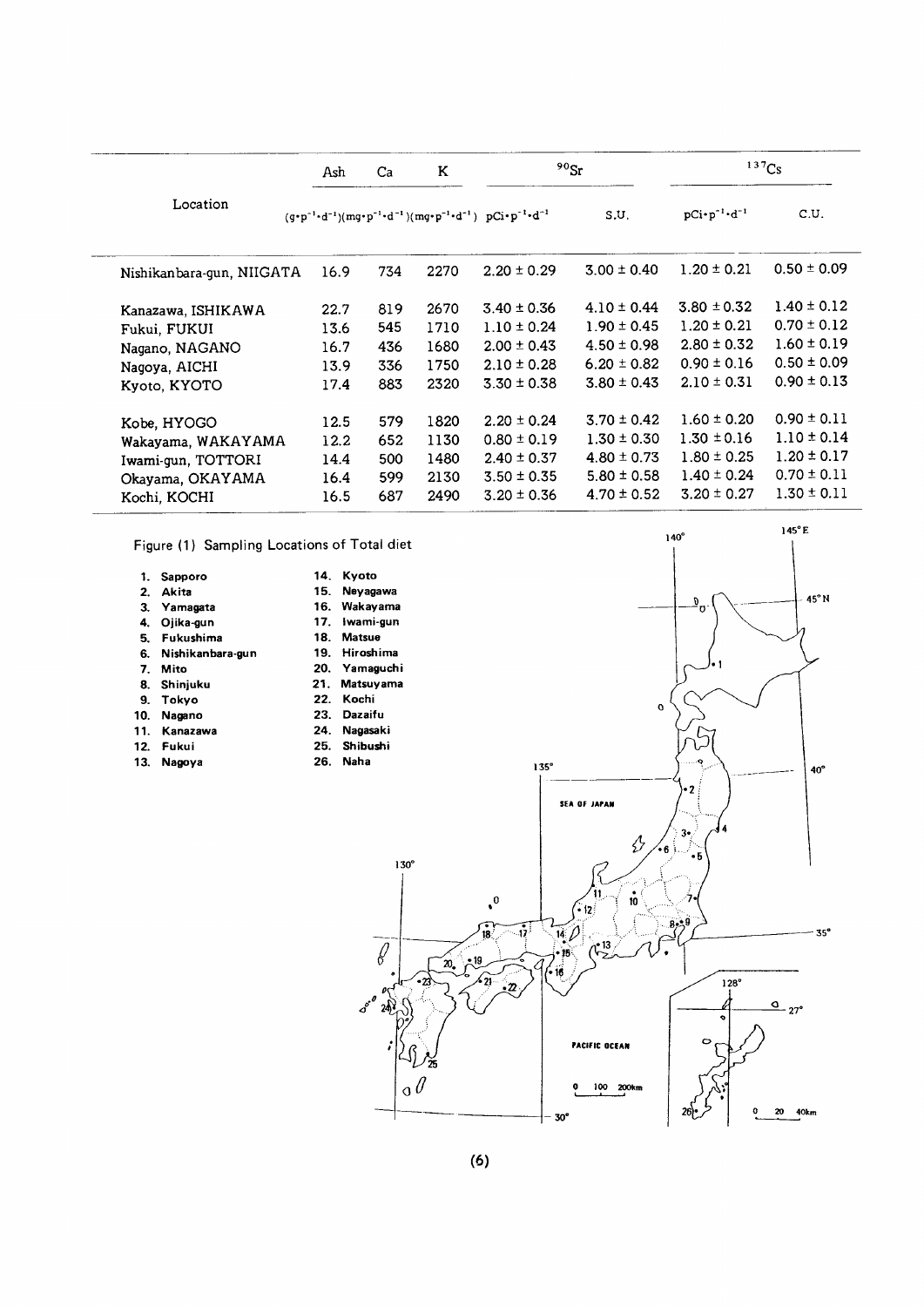|                           | Ash  | Ca  | K    | $90$ Sr                                                                                                                     |                 | $137$ Cs                        |                 |
|---------------------------|------|-----|------|-----------------------------------------------------------------------------------------------------------------------------|-----------------|---------------------------------|-----------------|
| Location                  |      |     |      | $(g \cdot p^{-1} \cdot d^{-1})(mg \cdot p^{-1} \cdot d^{-1})(mg \cdot p^{-1} \cdot d^{-1})$ $pCi \cdot p^{-1} \cdot d^{-1}$ | S.U.            | $pCi \cdot p^{-1} \cdot d^{-1}$ | C.U.            |
| Nishikanbara-gun, NIIGATA | 16.9 | 734 | 2270 | $2.20 \pm 0.29$                                                                                                             | $3.00 \pm 0.40$ | $1.20 \pm 0.21$                 | $0.50 \pm 0.09$ |
| Kanazawa, ISHIKAWA        | 22.7 | 819 | 2670 | $3.40 \pm 0.36$                                                                                                             | $4.10 \pm 0.44$ | $3.80 \pm 0.32$                 | $1.40 \pm 0.12$ |
| Fukui, FUKUI              | 13.6 | 545 | 1710 | $1.10 \pm 0.24$                                                                                                             | $1.90 \pm 0.45$ | $1.20 \pm 0.21$                 | $0.70 \pm 0.12$ |
| Nagano, NAGANO            | 16.7 | 436 | 1680 | $2.00 \pm 0.43$                                                                                                             | $4.50 \pm 0.98$ | $2.80 \pm 0.32$                 | $1.60 \pm 0.19$ |
| Nagoya, AICHI             | 13.9 | 336 | 1750 | $2.10 \pm 0.28$                                                                                                             | $6.20 \pm 0.82$ | $0.90 \pm 0.16$                 | $0.50 \pm 0.09$ |
| Kyoto, KYOTO              | 17.4 | 883 | 2320 | $3.30 \pm 0.38$                                                                                                             | $3.80 \pm 0.43$ | $2.10 \pm 0.31$                 | $0.90 \pm 0.13$ |
| Kobe, HYOGO               | 12.5 | 579 | 1820 | $2.20 \pm 0.24$                                                                                                             | $3.70 \pm 0.42$ | $1.60 \pm 0.20$                 | $0.90 \pm 0.11$ |
| Wakayama, WAKAYAMA        | 12.2 | 652 | 1130 | $0.80 \pm 0.19$                                                                                                             | $1.30 \pm 0.30$ | $1.30 \pm 0.16$                 | $1.10 \pm 0.14$ |
| Iwami-gun, TOTTORI        | 14.4 | 500 | 1480 | $2.40 \pm 0.37$                                                                                                             | $4.80 \pm 0.73$ | $1.80 \pm 0.25$                 | $1.20 \pm 0.17$ |
| Okayama, OKAYAMA          | 16.4 | 599 | 2130 | $3.50 \pm 0.35$                                                                                                             | $5.80 \pm 0.58$ | $1.40 \pm 0.24$                 | $0.70 \pm 0.11$ |
| Kochi, KOCHI              | 16.5 | 687 | 2490 | $3.20 \pm 0.36$                                                                                                             | $4.70 \pm 0.52$ | $3.20 \pm 0.27$                 | $1.30 \pm 0.11$ |

Figure (1) Sampling Locations of Total diet

| 1.  | Sapporo             |
|-----|---------------------|
|     | 2. Akita            |
|     | 3. Yamagata         |
| 4.  | Oiika-gun           |
| 5.  | Fukushima           |
|     | 6. Nishikanbara-gun |
| 7.  | Mito                |
| 8.  | Shinjuku            |
| 9.  | Tokyo               |
| 10. | Nagano              |
|     | 11. Kanazawa        |
|     | 12. Fukui           |
| 13. | Nagova              |

14. Kyoto 15. Neyagawa 16. Wakayama 17. iwami-gun 18. Matsue 19. Hiroshima 20.Yamaguchi 21. Matsuyama 22.Kochi 23.Dazaifu 24. Nagasaki 25. Shibushi 26. Naha

 $\overline{\mathcal{S}}$ 

 $\pmb{\mathcal{L}}$  $3^{60}$   $20^{10}$ 

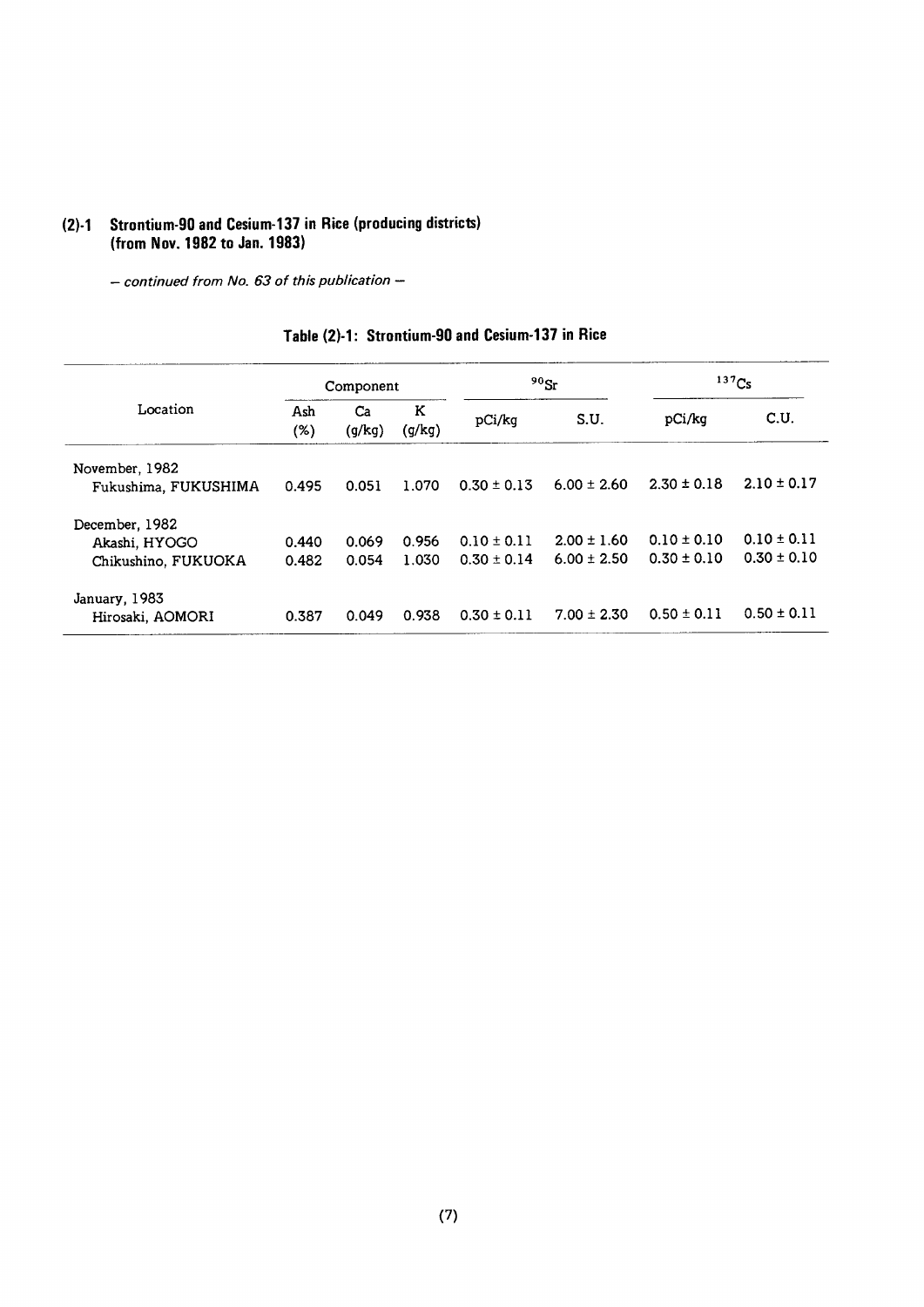## Strontium-90 and Cesium-137 in Rice (producing districts)<br>(from Nov. 1982 to Jan. 1983)  $(2)-1$

 $-$  continued from No. 63 of this publication  $-$ 

|                      |            | Component    |             |                 | $90$ Sr         |                 | 137Cs           |
|----------------------|------------|--------------|-------------|-----------------|-----------------|-----------------|-----------------|
| Location             | Ash<br>(%) | Ca<br>(g/kg) | Κ<br>(g/kg) | pCi/kg          | S.U.            | pCi/kg          | C.U.            |
| November, 1982       |            |              |             |                 |                 |                 |                 |
| Fukushima, FUKUSHIMA | 0.495      | 0.051        | 1.070       | $0.30 \pm 0.13$ | $6.00 \pm 2.60$ | $2.30 \pm 0.18$ | $2.10 \pm 0.17$ |
| December, 1982       |            |              |             |                 |                 |                 |                 |
| Akashi, HYOGO        | 0.440      | 0.069        | 0.956       | $0.10 \pm 0.11$ | $2.00 \pm 1.60$ | $0.10 \pm 0.10$ | $0.10 \pm 0.11$ |
| Chikushino, FUKUOKA  | 0.482      | 0.054        | 1.030       | $0.30 \pm 0.14$ | $6.00 \pm 2.50$ | $0.30 \pm 0.10$ | $0.30 \pm 0.10$ |
| January, 1983        |            |              |             |                 |                 |                 |                 |
| Hirosaki, AOMORI     | 0.387      | 0.049        | 0.938       | $0.30 \pm 0.11$ | $7.00 \pm 2.30$ | $0.50 \pm 0.11$ | $0.50 \pm 0.11$ |

## Table (2)-1: Strontium-90 and Cesium-137 in Rice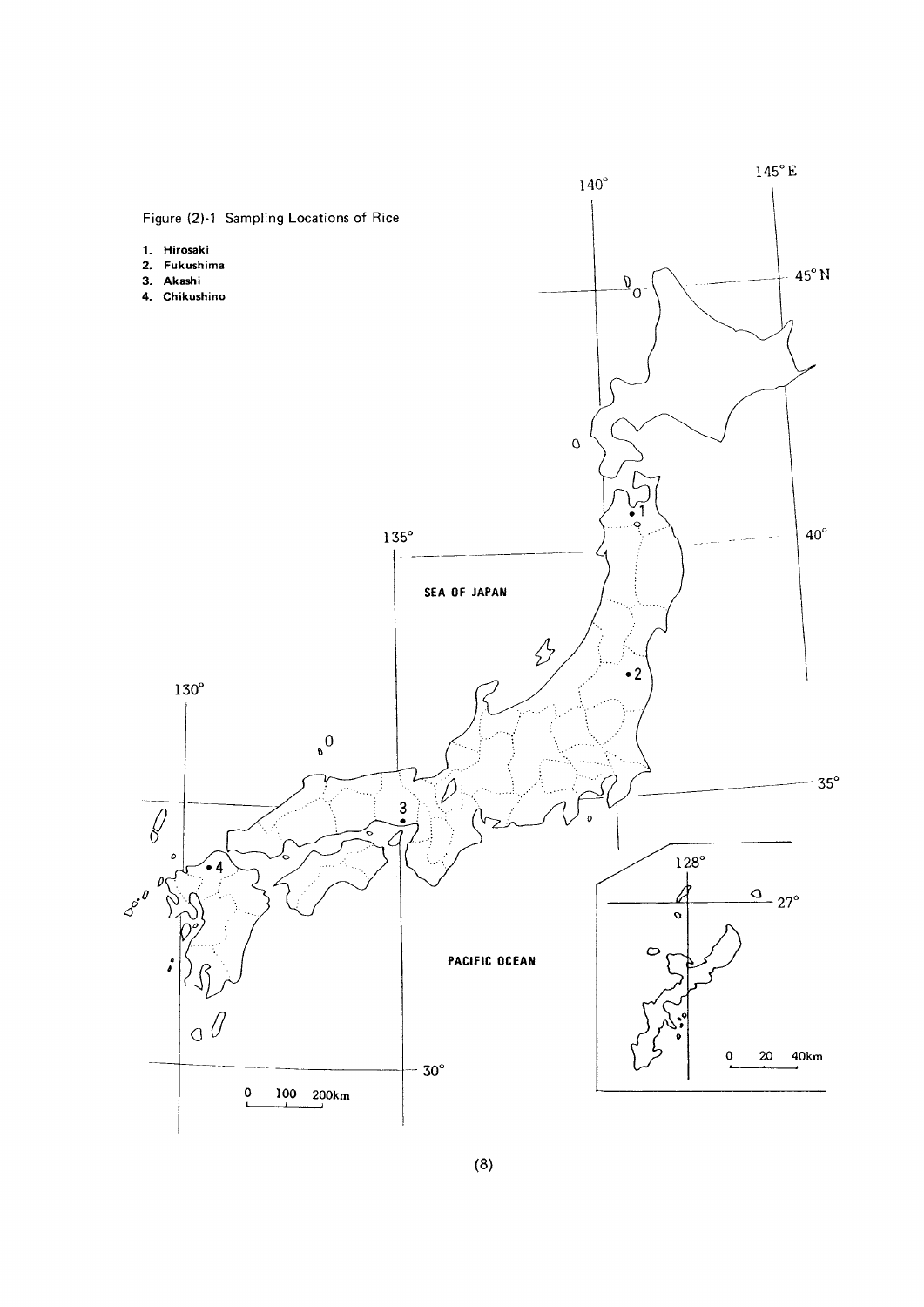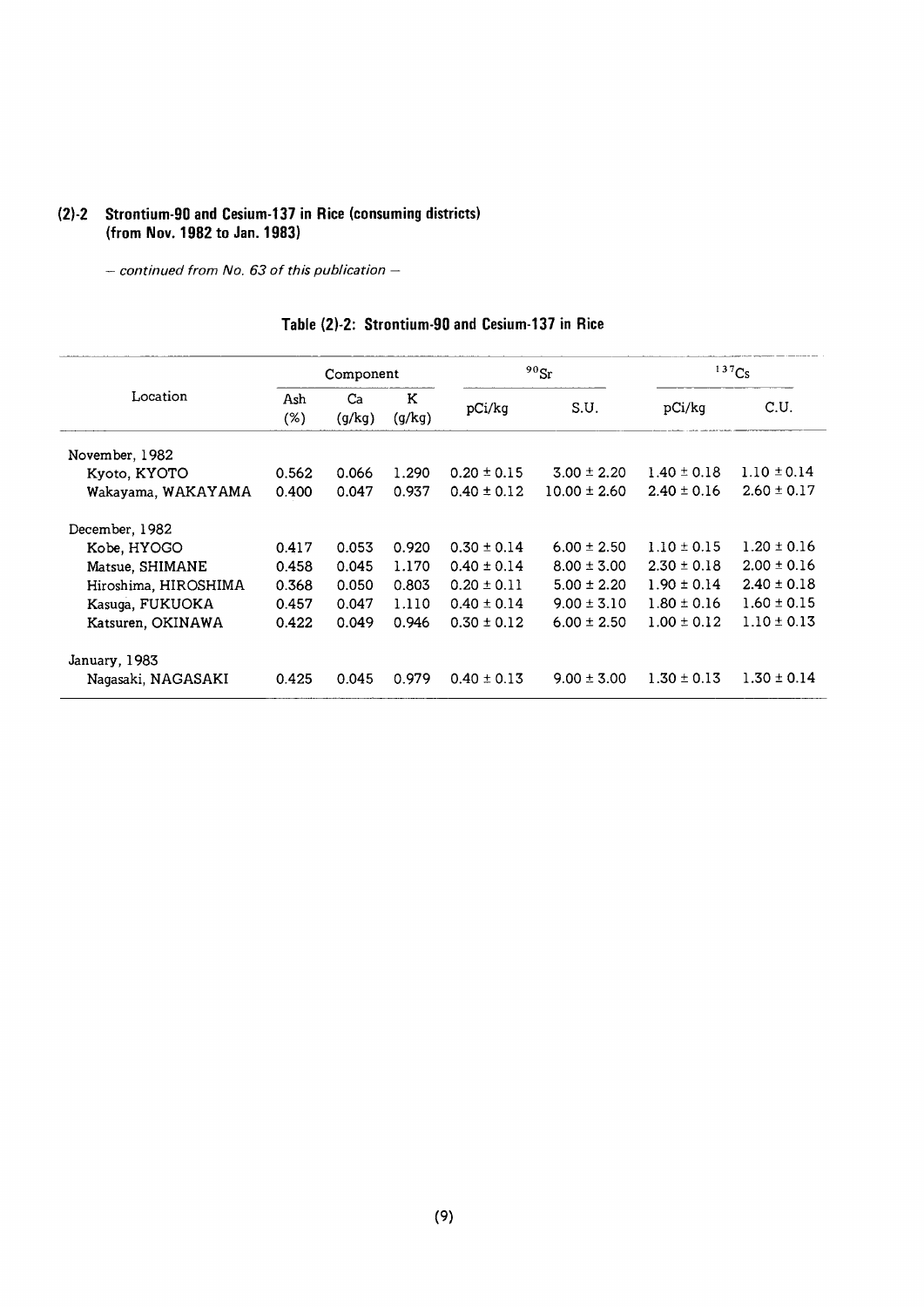#### (2)-2 Strontium-90 and Cesium-137 in Rice (consuming districts) (from Nov. 1982 to Jan. 1983)

- continued from No. 63 of this publication -

|                      |               | Component    |             |                 | $90$ Sr          |                 | 137Cs           |
|----------------------|---------------|--------------|-------------|-----------------|------------------|-----------------|-----------------|
| Location             | Ash<br>$(\%)$ | Ca<br>(g/kg) | К<br>(g/kg) | pCi/kg          | S.U.             | pCi/kg          | C.U.            |
| November, 1982       |               |              |             |                 |                  |                 |                 |
| Kyoto, KYOTO         | 0.562         | 0.066        | 1.290       | $0.20 \pm 0.15$ | $3.00 \pm 2.20$  | $1.40 \pm 0.18$ | $1.10 \pm 0.14$ |
| Wakayama, WAKAYAMA   | 0.400         | 0.047        | 0.937       | $0.40 \pm 0.12$ | $10.00 \pm 2.60$ | $2.40 \pm 0.16$ | $2.60 \pm 0.17$ |
| December, 1982       |               |              |             |                 |                  |                 |                 |
| Kobe, HYOGO          | 0.417         | 0.053        | 0.920       | $0.30 \pm 0.14$ | $6.00 \pm 2.50$  | $1.10 \pm 0.15$ | $1.20 \pm 0.16$ |
| Matsue, SHIMANE      | 0.458         | 0.045        | 1.170       | $0.40 \pm 0.14$ | $8.00 \pm 3.00$  | $2.30 \pm 0.18$ | $2.00 \pm 0.16$ |
| Hiroshima, HIROSHIMA | 0.368         | 0.050        | 0.803       | $0.20 \pm 0.11$ | $5.00 \pm 2.20$  | $1.90 \pm 0.14$ | $2.40 \pm 0.18$ |
| Kasuga, FUKUOKA      | 0.457         | 0.047        | 1.110       | $0.40 \pm 0.14$ | $9.00 \pm 3.10$  | $1.80 \pm 0.16$ | $1.60 \pm 0.15$ |
| Katsuren, OKINAWA    | 0.422         | 0.049        | 0.946       | $0.30 \pm 0.12$ | $6.00 \pm 2.50$  | $1.00 \pm 0.12$ | $1.10 \pm 0.13$ |
| January, 1983        |               |              |             |                 |                  |                 |                 |
| Nagasaki, NAGASAKI   | 0.425         | 0.045        | 0.979       | $0.40 \pm 0.13$ | $9.00 \pm 3.00$  | $1.30 \pm 0.13$ | $1.30 \pm 0.14$ |

#### Table (2)-2: Strontium-90 and Cesium-137 in Rice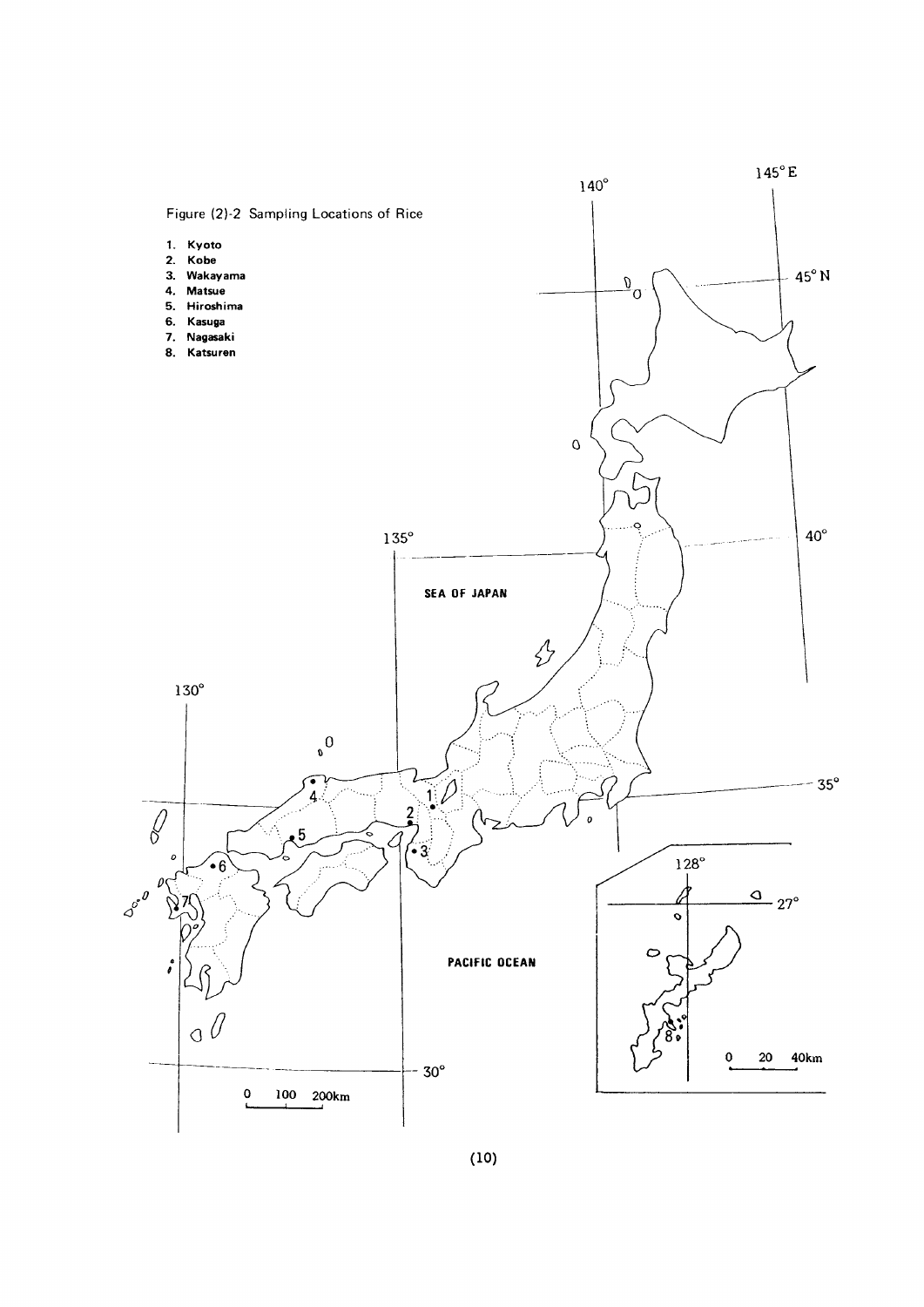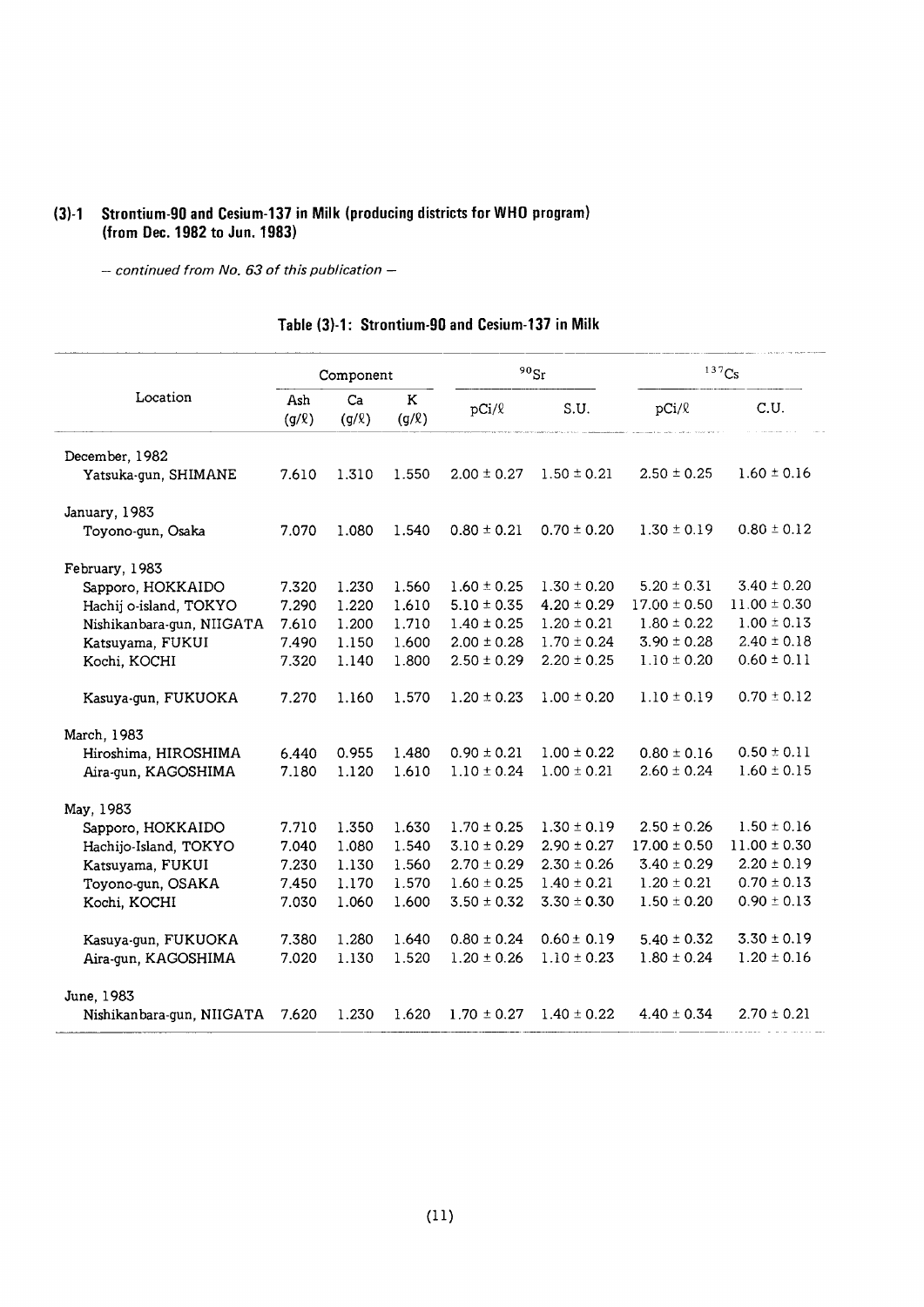### (3)-1 Strontium-90 and Cesium-137 in Milk (producing districts for WHO program) (from Dec. 1982 to Jun. 1983)

- continued from No. 63 of this publication -

#### Table (3)-1: Strontium-90 and Cesium-137 in Milk

|                           |                   | Component        |                 |                 | $^{90}\rm{Sr}$  |                  | 137Cs            |
|---------------------------|-------------------|------------------|-----------------|-----------------|-----------------|------------------|------------------|
| Location                  | Ash<br>$(g/\ell)$ | Ca<br>$(g/\ell)$ | Κ<br>$(g/\ell)$ | pCi/2           | S.U.            | $pCi/\ell$       | C.U.             |
| December, 1982            |                   |                  |                 |                 |                 |                  |                  |
| Yatsuka-gun, SHIMANE      | 7.610             | 1.310            | 1.550           | $2.00 \pm 0.27$ | $1.50 \pm 0.21$ | $2.50 \pm 0.25$  | $1.60 \pm 0.16$  |
| January, 1983             |                   |                  |                 |                 |                 |                  |                  |
| Toyono-gun, Osaka         | 7.070             | 1.080            | 1.540           | $0.80 \pm 0.21$ | $0.70 \pm 0.20$ | $1.30 \pm 0.19$  | $0.80 \pm 0.12$  |
| February, 1983            |                   |                  |                 |                 |                 |                  |                  |
| Sapporo, HOKKAIDO         | 7.320             | 1.230            | 1.560           | $1.60 \pm 0.25$ | $1.30 \pm 0.20$ | $5.20 \pm 0.31$  | $3.40 \pm 0.20$  |
| Hachij o-island, TOKYO    | 7.290             | 1.220            | 1.610           | $5.10 \pm 0.35$ | $4.20 \pm 0.29$ | $17.00 \pm 0.50$ | $11.00 \pm 0.30$ |
| Nishikanbara-gun, NIIGATA | 7.610             | 1.200            | 1.710           | $1.40 \pm 0.25$ | $1.20 \pm 0.21$ | $1.80 \pm 0.22$  | $1.00 \pm 0.13$  |
| Katsuyama, FUKUI          | 7.490             | 1.150            | 1.600           | $2.00 \pm 0.28$ | $1.70 \pm 0.24$ | $3.90 \pm 0.28$  | $2.40 \pm 0.18$  |
| Kochi, KOCHI              | 7.320             | 1.140            | 1.800           | $2.50 \pm 0.29$ | $2.20 \pm 0.25$ | $1.10 \pm 0.20$  | $0.60 \pm 0.11$  |
| Kasuya-gun, FUKUOKA       | 7.270             | 1.160            | 1.570           | $1.20 \pm 0.23$ | $1.00 \pm 0.20$ | $1.10 \pm 0.19$  | $0.70 \pm 0.12$  |
| March, 1983               |                   |                  |                 |                 |                 |                  |                  |
| Hiroshima, HIROSHIMA      | 6.440             | 0.955            | 1.480           | $0.90 \pm 0.21$ | $1.00 \pm 0.22$ | $0.80 \pm 0.16$  | $0.50 \pm 0.11$  |
| Aira-gun, KAGOSHIMA       | 7.180             | 1.120            | 1.610           | $1.10 \pm 0.24$ | $1.00 \pm 0.21$ | $2.60 \pm 0.24$  | $1.60 \pm 0.15$  |
| May, 1983                 |                   |                  |                 |                 |                 |                  |                  |
| Sapporo, HOKKAIDO         | 7.710             | 1.350            | 1.630           | $1.70 \pm 0.25$ | $1.30 \pm 0.19$ | $2.50 \pm 0.26$  | $1.50 \pm 0.16$  |
| Hachijo-Island, TOKYO     | 7.040             | 1.080            | 1.540           | $3.10 \pm 0.29$ | $2.90 \pm 0.27$ | $17.00 \pm 0.50$ | $11.00 \pm 0.30$ |
| Katsuyama, FUKUI          | 7.230             | 1.130            | 1.560           | $2.70 \pm 0.29$ | $2.30 \pm 0.26$ | $3.40 \pm 0.29$  | $2.20 \pm 0.19$  |
| Toyono-gun, OSAKA         | 7.450             | 1.170            | 1.570           | $1.60 \pm 0.25$ | $1.40 \pm 0.21$ | $1.20 \pm 0.21$  | $0.70 \pm 0.13$  |
| Kochi, KOCHI              | 7.030             | 1.060            | 1.600           | $3.50 \pm 0.32$ | $3.30 \pm 0.30$ | $1.50 \pm 0.20$  | $0.90 \pm 0.13$  |
| Kasuya-gun, FUKUOKA       | 7.380             | 1.280            | 1.640           | $0.80 \pm 0.24$ | $0.60 \pm 0.19$ | $5.40 \pm 0.32$  | $3.30 \pm 0.19$  |
| Aira-gun, KAGOSHIMA       | 7.020             | 1.130            | 1.520           | $1.20 \pm 0.26$ | $1.10 \pm 0.23$ | $1.80 \pm 0.24$  | $1.20 \pm 0.16$  |
| June, 1983                |                   |                  |                 |                 |                 |                  |                  |
| Nishikanbara-gun, NIIGATA | 7.620             | 1.230            | 1.620           | $1.70 \pm 0.27$ | $1.40 \pm 0.22$ | $4.40 \pm 0.34$  | $2.70 \pm 0.21$  |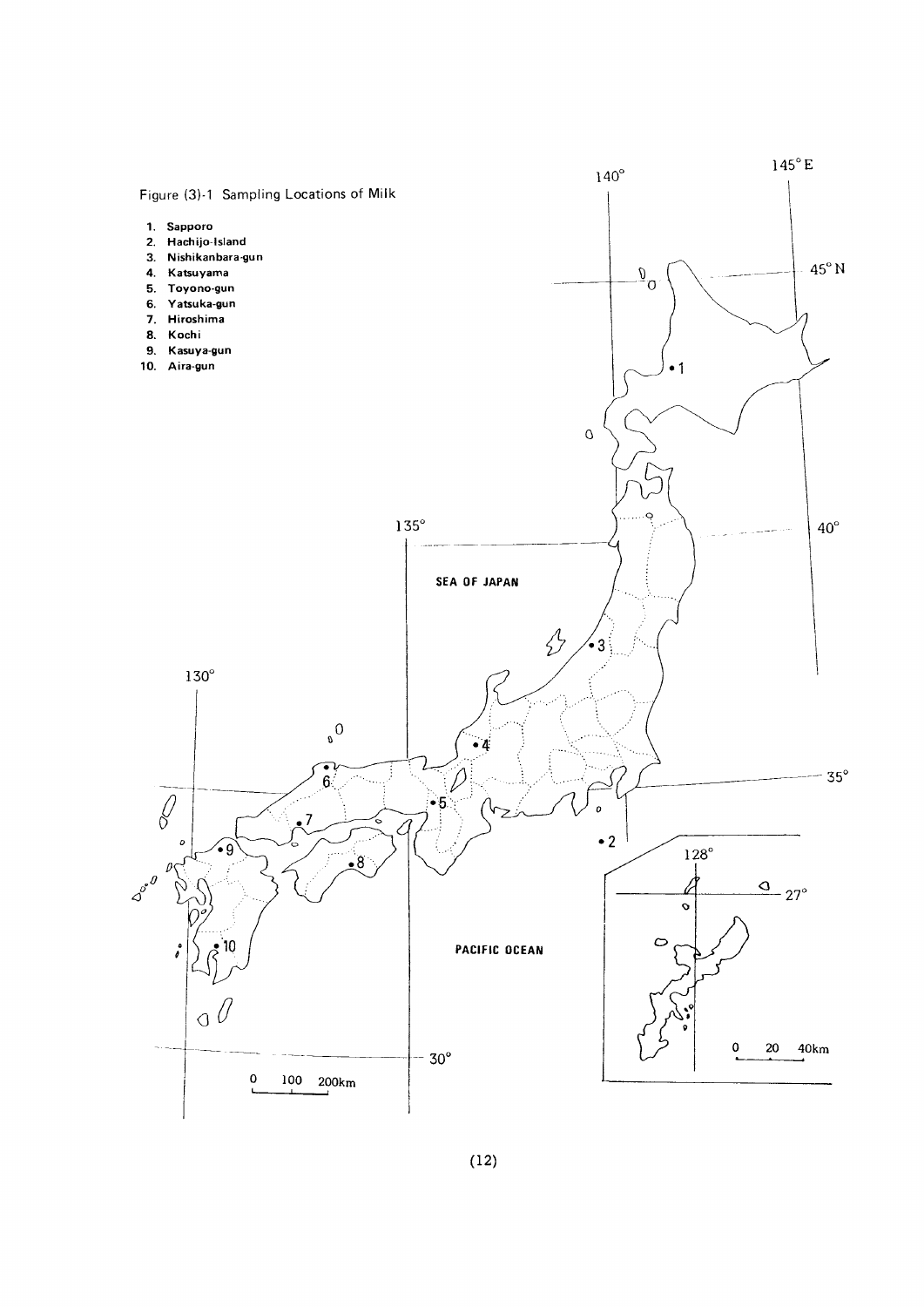

#### $(12)$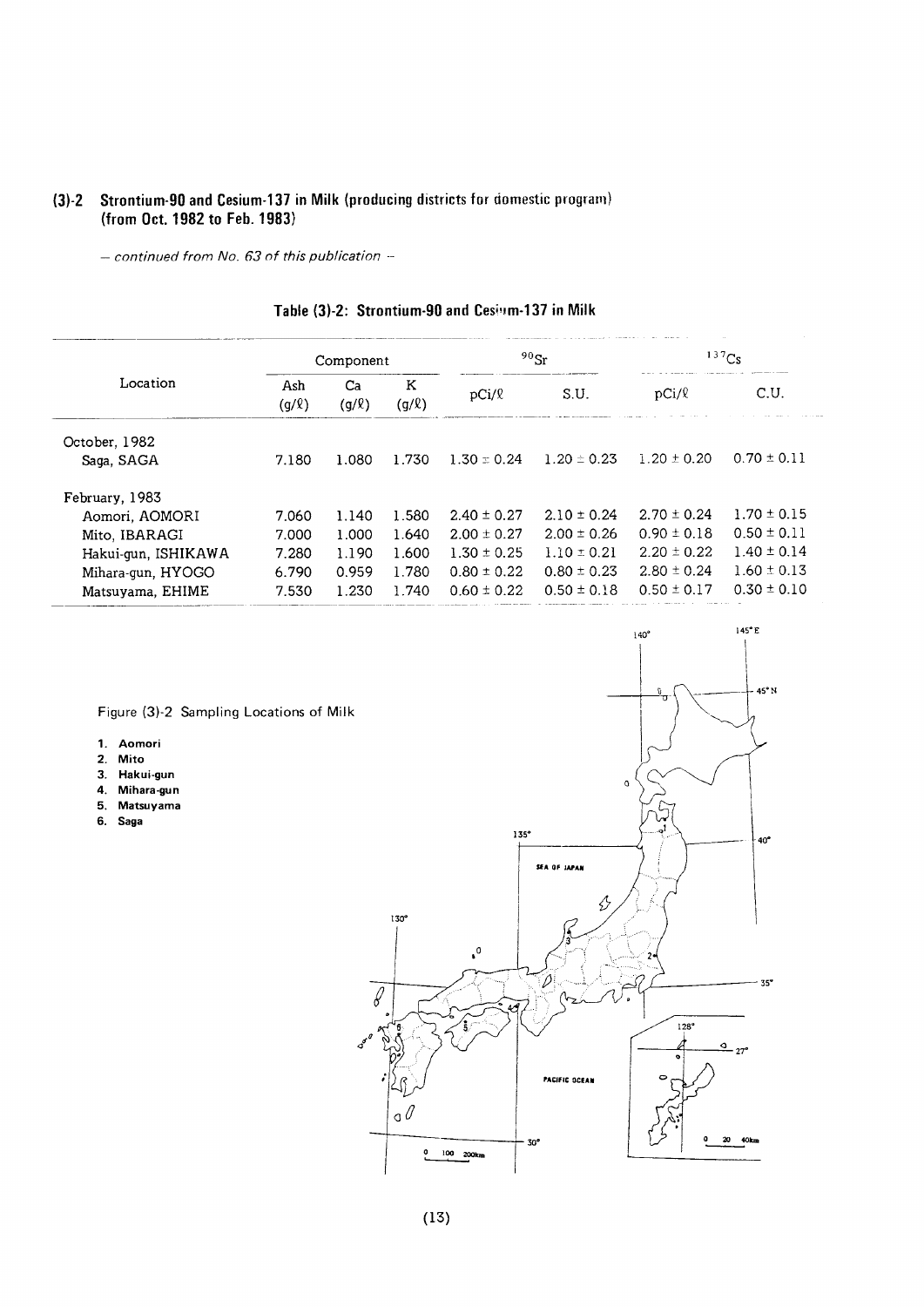#### (3)-2 Strontium-90 and Cesium-137 in Milk (producing districts for domestic progra (from Oct. 1982 to Feb. 19

- continued from No. 63 of this publication -

|                     |                   | Component        |                 |                 | $90$ Sr         |                 | 137Cs           |
|---------------------|-------------------|------------------|-----------------|-----------------|-----------------|-----------------|-----------------|
| Location            | Ash<br>$(g/\ell)$ | Ca<br>$(g/\ell)$ | K<br>$(g/\ell)$ | $pCi/\ell$      | S.U.            | $pCi$ / $\ell$  | C.U.            |
| October, 1982       |                   |                  |                 |                 |                 |                 |                 |
| Saga, SAGA          | 7.180             | 1.080            | 1.730           | $1.30 \pm 0.24$ | $1.20 \pm 0.23$ | $1.20 \pm 0.20$ | $0.70 \pm 0.11$ |
| February, 1983      |                   |                  |                 |                 |                 |                 |                 |
| Aomori, AOMORI      | 7.060             | 1.140            | 1.580           | $2.40 \pm 0.27$ | $2.10 \pm 0.24$ | $2.70 \pm 0.24$ | $1.70 \pm 0.15$ |
| Mito, IBARAGI       | 7.000             | 1.000            | 1.640           | $2.00 \pm 0.27$ | $2.00 \pm 0.26$ | $0.90 \pm 0.18$ | $0.50 \pm 0.11$ |
| Hakui-gun, ISHIKAWA | 7.280             | 1.190            | 1.600           | $1.30 \pm 0.25$ | $1.10 \pm 0.21$ | $2.20 \pm 0.22$ | $1.40 \pm 0.14$ |
| Mihara-gun, HYOGO   | 6.790             | 0.959            | 1.780           | $0.80 \pm 0.22$ | $0.80 \pm 0.23$ | $2.80 \pm 0.24$ | $1.60 \pm 0.13$ |
| Matsuyama, EHIME    | 7.530             | 1.230            | 1.740           | $0.60 \pm 0.22$ | $0.50 \pm 0.18$ | $0.50 \pm 0.17$ | $0.30 \pm 0.10$ |

## Table (3)-2: Strontium-90 and Cesium-137 in Milk

Figure (3)-2 Sampling Locations of Milk

- 1. Aomori
- 2. Mito
- 3. Hakui-gun
- 4. Mihara-gun
- 5.Matsuyama
- 6.Saga

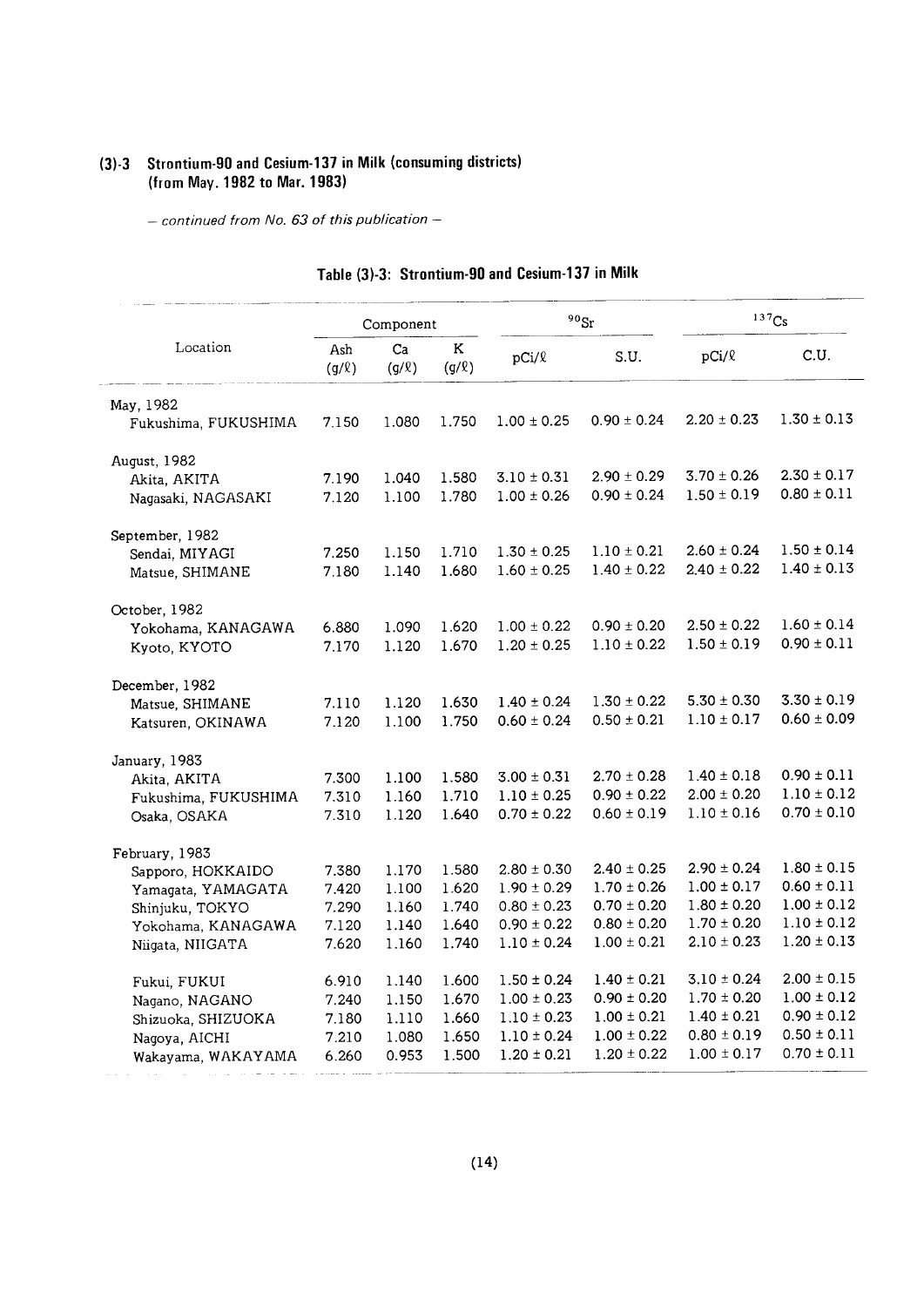#### (3)-3 Strontium-90 and Cesium-137 in Milk (consuming districts) (from May. 1982 to Mar. 1983)

- continued from No. 63 of this publication -

 $\overline{a}$ 

|                      |                   | Component        |                       |                 | $90$ <sub>Sr</sub> |                 | 137Cs           |
|----------------------|-------------------|------------------|-----------------------|-----------------|--------------------|-----------------|-----------------|
| Location             | Ash<br>$(g/\ell)$ | Ca<br>$(g/\ell)$ | $\rm K$<br>$(g/\ell)$ | $pCi/\ell$      | S.U.               | $pCi/\ell$      | C.U.            |
| May, 1982            |                   |                  |                       |                 |                    |                 |                 |
| Fukushima, FUKUSHIMA | 7.150             | 1.080            | 1.750                 | $1.00 \pm 0.25$ | $0.90 \pm 0.24$    | $2.20 \pm 0.23$ | $1.30 \pm 0.13$ |
| August, 1982         |                   |                  |                       |                 |                    |                 |                 |
| Akita, AKITA         | 7.190             | 1.040            | 1.580                 | $3.10 \pm 0.31$ | $2.90 \pm 0.29$    | $3.70 \pm 0.26$ | $2.30 \pm 0.17$ |
| Nagasaki, NAGASAKI   | 7.120             | 1.100            | 1.780                 | $1.00 \pm 0.26$ | $0.90 \pm 0.24$    | $1.50 \pm 0.19$ | $0.80 \pm 0.11$ |
| September, 1982      |                   |                  |                       |                 |                    |                 |                 |
| Sendai, MIYAGI       | 7.250             | 1.150            | 1.710                 | $1.30 \pm 0.25$ | $1.10 \pm 0.21$    | $2.60 \pm 0.24$ | $1.50 \pm 0.14$ |
| Matsue, SHIMANE      | 7.180             | 1.140            | 1.680                 | $1.60 \pm 0.25$ | $1.40 \pm 0.22$    | $2.40 \pm 0.22$ | $1.40 \pm 0.13$ |
| October, 1982        |                   |                  |                       |                 |                    |                 |                 |
| Yokohama, KANAGAWA   | 6.880             | 1.090            | 1.620                 | $1.00 \pm 0.22$ | $0.90 \pm 0.20$    | $2.50 \pm 0.22$ | $1.60 \pm 0.14$ |
| Kyoto, KYOTO         | 7.170             | 1.120            | 1.670                 | $1.20 \pm 0.25$ | $1.10 \pm 0.22$    | $1.50 \pm 0.19$ | $0.90 \pm 0.11$ |
| December, 1982       |                   |                  |                       |                 |                    |                 |                 |
| Matsue, SHIMANE      | 7.110             | 1.120            | 1.630                 | $1.40 \pm 0.24$ | $1.30 \pm 0.22$    | $5.30 \pm 0.30$ | $3.30 \pm 0.19$ |
| Katsuren, OKINAWA    | 7.120             | 1.100            | 1.750                 | $0.60 \pm 0.24$ | $0.50 \pm 0.21$    | $1.10 \pm 0.17$ | $0.60 \pm 0.09$ |
| January, 1983        |                   |                  |                       |                 |                    |                 |                 |
| Akita, AKITA         | 7.300             | 1.100            | 1.580                 | $3.00 \pm 0.31$ | $2.70 \pm 0.28$    | $1.40 \pm 0.18$ | $0.90 \pm 0.11$ |
| Fukushima, FUKUSHIMA | 7.310             | 1.160            | 1.710                 | $1.10 \pm 0.25$ | $0.90 \pm 0.22$    | $2.00 \pm 0.20$ | $1.10 \pm 0.12$ |
| Osaka, OSAKA         | 7.310             | 1.120            | 1.640                 | $0.70 \pm 0.22$ | $0.60 \pm 0.19$    | $1.10 \pm 0.16$ | $0.70 \pm 0.10$ |
| February, 1983       |                   |                  |                       |                 |                    |                 |                 |
| Sapporo, HOKKAIDO    | 7.380             | 1.170            | 1.580                 | $2.80 \pm 0.30$ | $2.40 \pm 0.25$    | $2.90 \pm 0.24$ | $1.80 \pm 0.15$ |
| Yamagata, YAMAGATA   | 7.420             | 1.100            | 1.620                 | $1.90 \pm 0.29$ | $1.70 \pm 0.26$    | $1.00 \pm 0.17$ | $0.60 \pm 0.11$ |
| Shinjuku, TOKYO      | 7.290             | 1.160            | 1.740                 | $0.80 \pm 0.23$ | $0.70 \pm 0.20$    | $1.80 \pm 0.20$ | $1.00 \pm 0.12$ |
| Yokohama, KANAGAWA   | 7.120             | 1.140            | 1.640                 | $0.90 \pm 0.22$ | $0.80 \pm 0.20$    | $1.70 \pm 0.20$ | $1.10 \pm 0.12$ |
| Niigata, NIIGATA     | 7.620             | 1.160            | 1.740                 | $1.10 \pm 0.24$ | $1.00 \pm 0.21$    | $2.10 \pm 0.23$ | $1.20 \pm 0.13$ |
| Fukui, FUKUI         | 6.910             | 1.140            | 1.600                 | $1.50 \pm 0.24$ | $1.40 \pm 0.21$    | $3.10 \pm 0.24$ | $2.00 \pm 0.15$ |
| Nagano, NAGANO       | 7.240             | 1.150            | 1.670                 | $1.00 \pm 0.23$ | $0.90 \pm 0.20$    | $1.70 \pm 0.20$ | $1.00 \pm 0.12$ |
| Shizuoka, SHIZUOKA   | 7.180             | 1.110            | 1.660                 | $1.10 \pm 0.23$ | $1.00 \pm 0.21$    | $1.40 \pm 0.21$ | $0.90 \pm 0.12$ |
| Nagoya, AICHI        | 7.210             | 1.080            | 1.650                 | $1.10 \pm 0.24$ | $1.00 \pm 0.22$    | $0.80 \pm 0.19$ | $0.50 \pm 0.11$ |
| Wakayama, WAKAYAMA   | 6.260             | 0.953            | 1.500                 | $1.20 \pm 0.21$ | $1.20 \pm 0.22$    | $1.00 \pm 0.17$ | $0.70 \pm 0.11$ |

#### Table (3)-3: Strontium-90 and Cesium-137 in Milk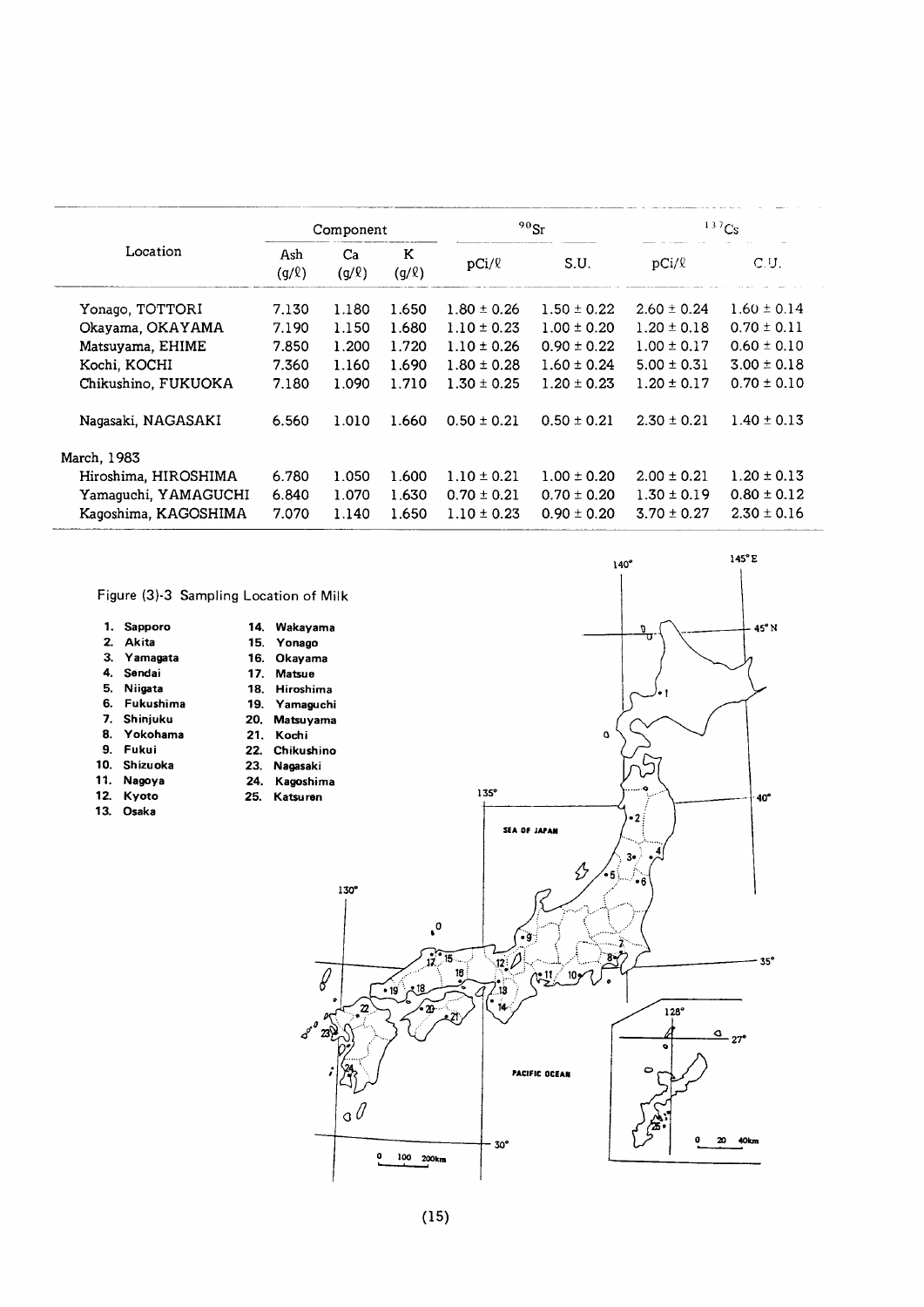|                      |                   | Component        |                 |                 | $90$ Sr         |                 | 137Cs           |
|----------------------|-------------------|------------------|-----------------|-----------------|-----------------|-----------------|-----------------|
| Location             | Ash<br>$(g/\ell)$ | Ca<br>$(g/\ell)$ | K<br>$(g/\ell)$ | $pCi/\ell$      | S.U.            | $pCi/\ell$      | C.U.            |
| Yonago, TOTTORI      | 7.130             | 1.180            | 1.650           | $1.80 \pm 0.26$ | $1.50 \pm 0.22$ | $2.60 \pm 0.24$ | $1.60 \pm 0.14$ |
| Okayama, OKAYAMA     | 7.190             | 1.150            | 1.680           | $1.10 \pm 0.23$ | $1.00 \pm 0.20$ | $1.20 \pm 0.18$ | $0.70 \pm 0.11$ |
| Matsuyama, EHIME     | 7.850             | 1.200            | 1.720           | $1.10 \pm 0.26$ | $0.90 \pm 0.22$ | $1.00 \pm 0.17$ | $0.60 \pm 0.10$ |
| Kochi, KOCHI         | 7.360             | 1.160            | 1.690           | $1.80 \pm 0.28$ | $1.60 \pm 0.24$ | $5.00 \pm 0.31$ | $3.00 \pm 0.18$ |
| Chikushino, FUKUOKA  | 7.180             | 1.090            | 1.710           | $1.30 \pm 0.25$ | $1.20 \pm 0.23$ | $1.20 \pm 0.17$ | $0.70 \pm 0.10$ |
| Nagasaki, NAGASAKI   | 6.560             | 1.010            | 1.660           | $0.50 \pm 0.21$ | $0.50 \pm 0.21$ | $2.30 \pm 0.21$ | $1.40 \pm 0.13$ |
| March, 1983          |                   |                  |                 |                 |                 |                 |                 |
| Hiroshima, HIROSHIMA | 6.780             | 1.050            | 1.600           | $1.10 \pm 0.21$ | $1.00 \pm 0.20$ | $2.00 \pm 0.21$ | $1.20 \pm 0.13$ |
| Yamaguchi, YAMAGUCHI | 6.840             | 1.070            | 1.630           | $0.70 \pm 0.21$ | $0.70 \pm 0.20$ | $1.30 \pm 0.19$ | $0.80 \pm 0.12$ |
| Kaqoshima, KAGOSHIMA | 7.070             | 1.140            | 1.650           | $1.10 \pm 0.23$ | $0.90 \pm 0.20$ | $3.70 \pm 0.27$ | $2.30 \pm 0.16$ |

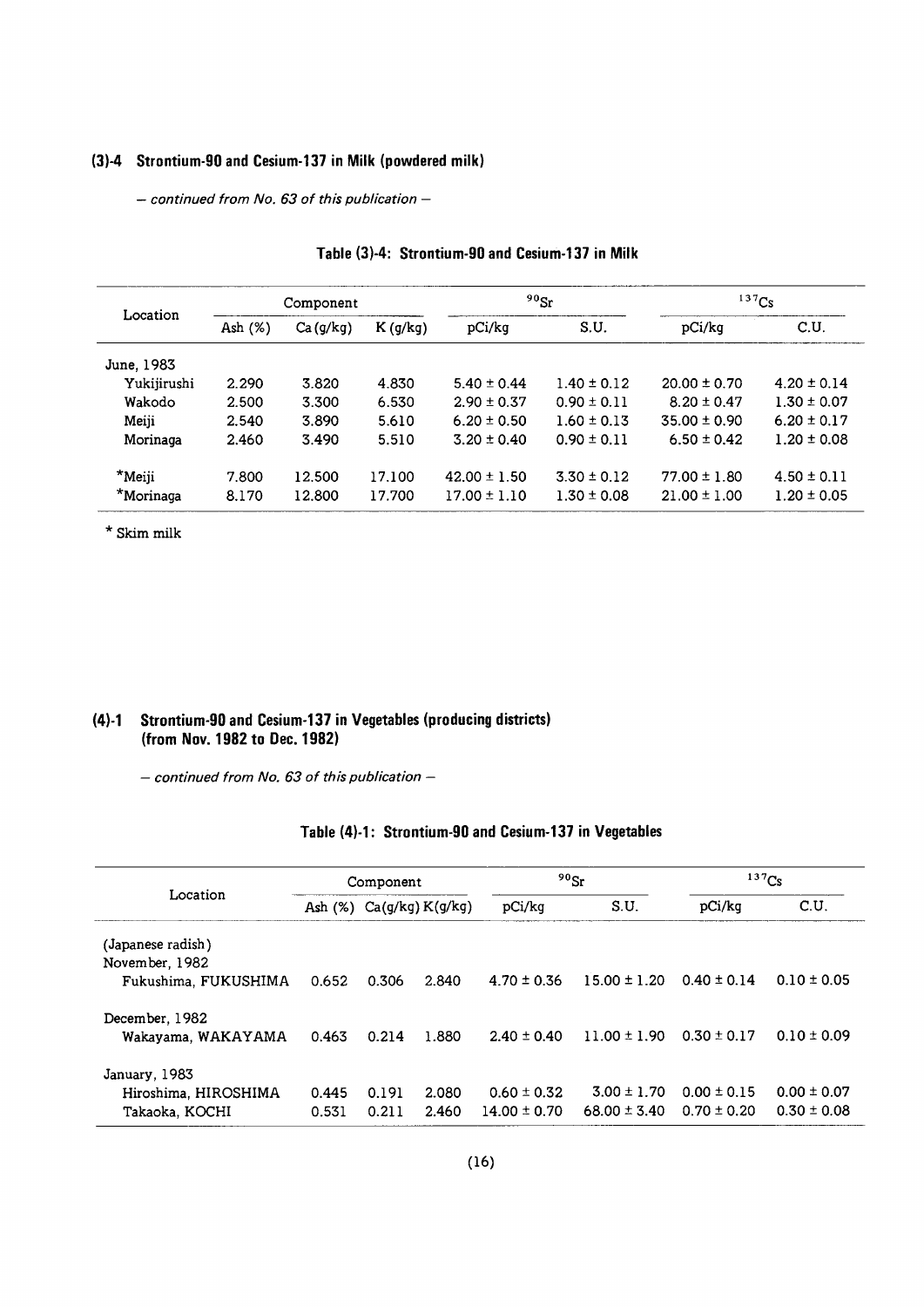#### (3)-4 Strontium-90 and Cesium-137 in Milk (powdered milk)

 $-$  continued from No. 63 of this publication  $-$ 

|             |         | Component |            | $^{90}$ Sr       |                 | 137Cs            |                 |  |
|-------------|---------|-----------|------------|------------------|-----------------|------------------|-----------------|--|
| Location    | Ash (%) | Ca(g/kg)  | $K$ (g/kg) | pCi/kg           | S.U.            | pCi/kg           | C.U.            |  |
| June, 1983  |         |           |            |                  |                 |                  |                 |  |
| Yukijirushi | 2.290   | 3.820     | 4.830      | $5.40 \pm 0.44$  | $1.40 \pm 0.12$ | $20.00 \pm 0.70$ | $4.20 \pm 0.14$ |  |
| Wakodo      | 2.500   | 3.300     | 6.530      | $2.90 \pm 0.37$  | $0.90 \pm 0.11$ | $8.20 \pm 0.47$  | $1.30 \pm 0.07$ |  |
| Meiji       | 2.540   | 3.890     | 5.610      | $6.20 \pm 0.50$  | $1.60 \pm 0.13$ | $35.00 \pm 0.90$ | $6.20 \pm 0.17$ |  |
| Morinaga    | 2.460   | 3.490     | 5.510      | $3.20 \pm 0.40$  | $0.90 \pm 0.11$ | $6.50 \pm 0.42$  | $1.20 \pm 0.08$ |  |
| $*$ Meiji   | 7.800   | 12.500    | 17.100     | $42.00 \pm 1.50$ | $3.30 \pm 0.12$ | $77.00 \pm 1.80$ | $4.50 \pm 0.11$ |  |
| *Morinaga   | 8.170   | 12.800    | 17.700     | $17.00 \pm 1.10$ | $1.30 \pm 0.08$ | $21.00 \pm 1.00$ | $1.20 \pm 0.05$ |  |

#### Table (3)-4: Strontium-90 and Cesium-137 in Milk

 $^\star$  Skim milk

#### (4)-1 Strontium-90 and Cesium-137 in Vegetables (producing districts) (from Nov. 1982 to Dec. 1982)

 $-$  continued from No. 63 of this publication  $-$ 

#### Table (4)-1: Strontium-90 and Cesium-137 in Vegetables

|                                      | Component |       |                             | $90$ <sub>Sr</sub> |                  | $137$ Cs        |                 |
|--------------------------------------|-----------|-------|-----------------------------|--------------------|------------------|-----------------|-----------------|
| Location                             |           |       | Ash $(\%)$ Ca(g/kg) K(g/kg) | pCi/kg             | S.U.             | pCi/kq          | C.U.            |
| (Japanese radish)<br>November, 1982  |           |       |                             |                    |                  |                 |                 |
| Fukushima. FUKUSHIMA                 | 0.652     | 0.306 | 2.840                       | $4.70 \pm 0.36$    | $15.00 \pm 1.20$ | $0.40 \pm 0.14$ | $0.10 \pm 0.05$ |
| December, 1982<br>Wakayama, WAKAYAMA | 0.463     | 0.214 | 1.880                       | $2.40 \pm 0.40$    | $11.00 \pm 1.90$ | $0.30 \pm 0.17$ | $0.10 \pm 0.09$ |
| January, 1983                        |           |       |                             |                    |                  |                 |                 |
| Hiroshima, HIROSHIMA                 | 0.445     | 0.191 | 2.080                       | $0.60 \pm 0.32$    | $3.00 \pm 1.70$  | $0.00 \pm 0.15$ | $0.00 \pm 0.07$ |
| Takaoka, KOCHI                       | 0.531     | 0.211 | 2.460                       | $14.00 \pm 0.70$   | $68.00 \pm 3.40$ | $0.70 \pm 0.20$ | $0.30 \pm 0.08$ |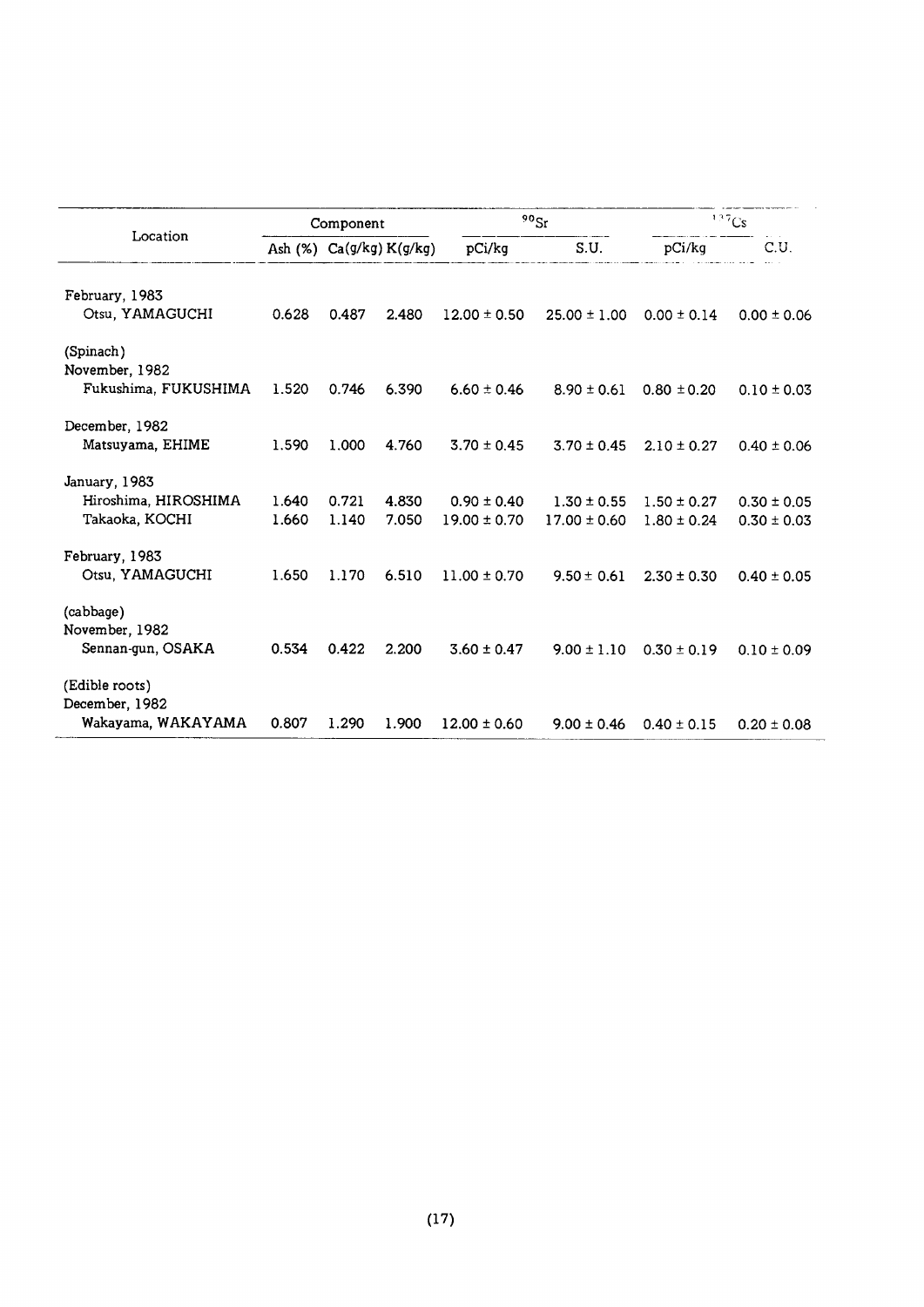|                      |       | Component                         |       |                  | $90$ Sr          | 137Cs           |                 |
|----------------------|-------|-----------------------------------|-------|------------------|------------------|-----------------|-----------------|
| Location             |       | Ash $(\%)$ Ca $(g/kg)$ K $(g/kg)$ |       | pCi/kg           | S.U.             | pCi/kq          | C.U.            |
| February, 1983       |       |                                   |       |                  |                  |                 |                 |
| Otsu, YAMAGUCHI      | 0.628 | 0.487                             | 2.480 | $12.00 \pm 0.50$ | $25.00 \pm 1.00$ | $0.00 \pm 0.14$ | $0.00 \pm 0.06$ |
| (Spinach)            |       |                                   |       |                  |                  |                 |                 |
| November, 1982       |       |                                   |       |                  |                  |                 |                 |
| Fukushima, FUKUSHIMA | 1.520 | 0.746                             | 6.390 | $6.60 \pm 0.46$  | $8.90 \pm 0.61$  | $0.80 \pm 0.20$ | $0.10 \pm 0.03$ |
| December, 1982       |       |                                   |       |                  |                  |                 |                 |
| Matsuyama, EHIME     | 1.590 | 1.000                             | 4.760 | $3.70 \pm 0.45$  | $3.70 \pm 0.45$  | $2.10 \pm 0.27$ | $0.40 \pm 0.06$ |
| January, 1983        |       |                                   |       |                  |                  |                 |                 |
| Hiroshima, HIROSHIMA | 1.640 | 0.721                             | 4.830 | $0.90 \pm 0.40$  | $1.30 \pm 0.55$  | $1.50 \pm 0.27$ | $0.30 \pm 0.05$ |
| Takaoka, KOCHI       | 1.660 | 1.140                             | 7.050 | $19.00 \pm 0.70$ | $17.00 \pm 0.60$ | $1.80 \pm 0.24$ | $0.30 \pm 0.03$ |
| February, 1983       |       |                                   |       |                  |                  |                 |                 |
| Otsu, YAMAGUCHI      | 1.650 | 1.170                             | 6.510 | $11.00 \pm 0.70$ | $9.50 \pm 0.61$  | $2.30 \pm 0.30$ | $0.40 \pm 0.05$ |
| (cabbage)            |       |                                   |       |                  |                  |                 |                 |
| November, 1982       |       |                                   |       |                  |                  |                 |                 |
| Sennan-gun, OSAKA    | 0.534 | 0.422                             | 2.200 | $3.60 \pm 0.47$  | $9.00 \pm 1.10$  | $0.30 \pm 0.19$ | $0.10 \pm 0.09$ |
| (Edible roots)       |       |                                   |       |                  |                  |                 |                 |
| December, 1982       |       |                                   |       |                  |                  |                 |                 |
| Wakayama, WAKAYAMA   | 0.807 | 1.290                             | 1.900 | $12.00 \pm 0.60$ | $9.00 \pm 0.46$  | $0.40 \pm 0.15$ | $0.20 \pm 0.08$ |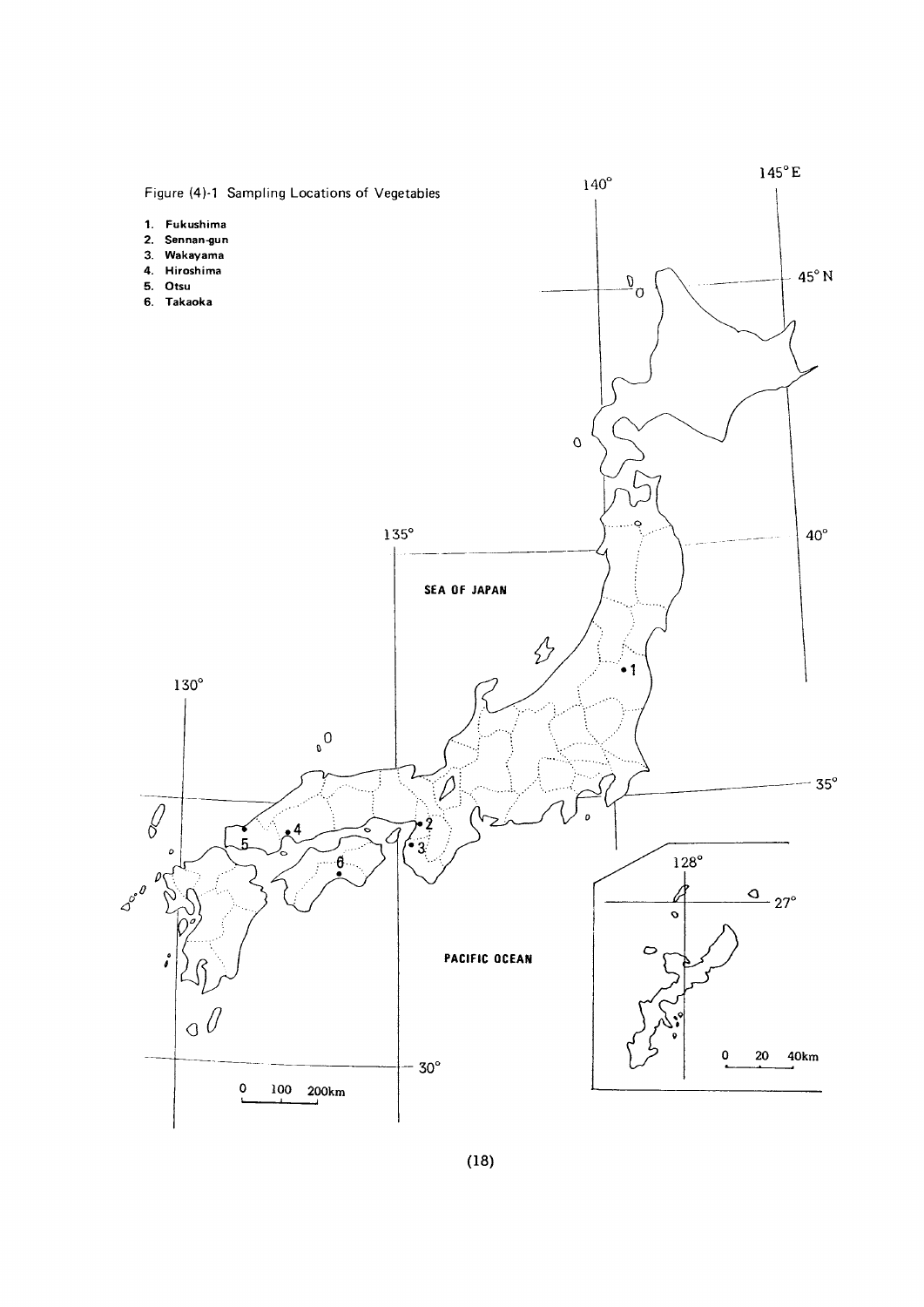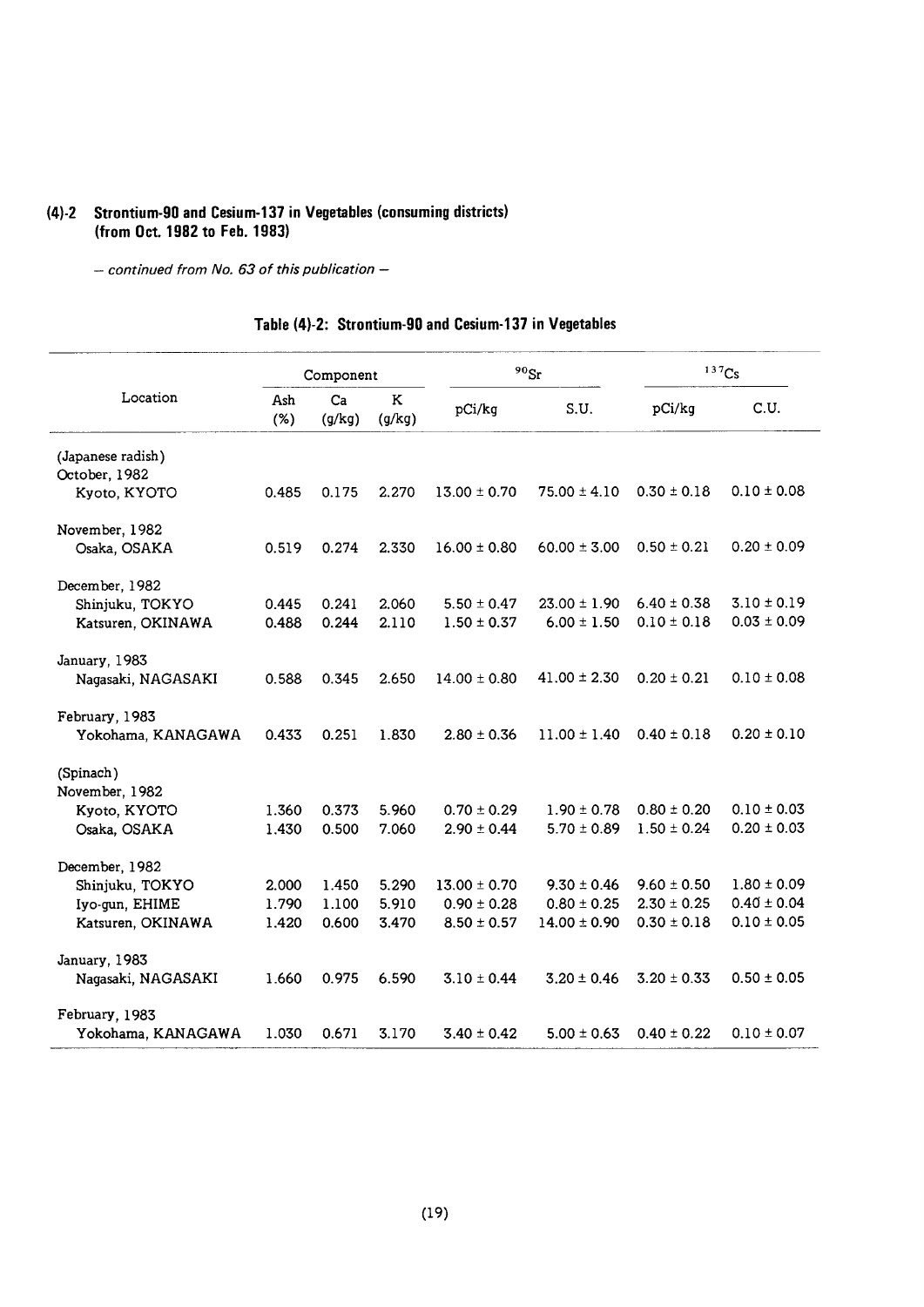# (4)-2 Strontium-90 and Cesium-137 in Vegetables (consuming districts)<br>(from Oct. 1982 to Feb. 1983)

 $-$  continued from No. 63 of this publication  $-$ 

#### Table (4)-2: Strontium-90 and Cesium-137 in Vegetables

|                    |               | Component    |             |                  | $90$ Sr          |                 | 137C <sub>S</sub> |
|--------------------|---------------|--------------|-------------|------------------|------------------|-----------------|-------------------|
| Location           | Ash<br>$(\%)$ | Ca<br>(g/kg) | K<br>(g/kg) | pCi/kg           | S.U.             | pCi/kg          | C.U.              |
| (Japanese radish)  |               |              |             |                  |                  |                 |                   |
| October, 1982      |               |              |             |                  |                  |                 |                   |
| Kyoto, KYOTO       | 0.485         | 0.175        | 2.270       | $13.00 \pm 0.70$ | $75.00 \pm 4.10$ | $0.30 \pm 0.18$ | $0.10 \pm 0.08$   |
| November, 1982     |               |              |             |                  |                  |                 |                   |
| Osaka, OSAKA       | 0.519         | 0.274        | 2.330       | $16.00 \pm 0.80$ | $60.00 \pm 3.00$ | $0.50 \pm 0.21$ | $0.20 \pm 0.09$   |
| December, 1982     |               |              |             |                  |                  |                 |                   |
| Shinjuku, TOKYO    | 0.445         | 0.241        | 2.060       | $5.50 \pm 0.47$  | $23.00 \pm 1.90$ | $6.40 \pm 0.38$ | $3.10 \pm 0.19$   |
| Katsuren, OKINAWA  | 0.488         | 0.244        | 2.110       | $1.50 \pm 0.37$  | $6.00 \pm 1.50$  | $0.10 \pm 0.18$ | $0.03 \pm 0.09$   |
| January, 1983      |               |              |             |                  |                  |                 |                   |
| Nagasaki, NAGASAKI | 0.588         | 0.345        | 2.650       | $14.00 \pm 0.80$ | $41.00 \pm 2.30$ | $0.20 \pm 0.21$ | $0.10 \pm 0.08$   |
| February, 1983     |               |              |             |                  |                  |                 |                   |
| Yokohama, KANAGAWA | 0.433         | 0.251        | 1.830       | $2.80 \pm 0.36$  | $11.00 \pm 1.40$ | $0.40 \pm 0.18$ | $0.20 \pm 0.10$   |
| (Spinach)          |               |              |             |                  |                  |                 |                   |
| November, 1982     |               |              |             |                  |                  |                 |                   |
| Kyoto, KYOTO       | 1.360         | 0.373        | 5.960       | $0.70 \pm 0.29$  | $1.90 \pm 0.78$  | $0.80 \pm 0.20$ | $0.10 \pm 0.03$   |
| Osaka, OSAKA       | 1.430         | 0.500        | 7.060       | $2.90 \pm 0.44$  | $5.70 \pm 0.89$  | $1.50 \pm 0.24$ | $0.20 \pm 0.03$   |
| December, 1982     |               |              |             |                  |                  |                 |                   |
| Shinjuku, TOKYO    | 2.000         | 1.450        | 5.290       | $13.00 \pm 0.70$ | $9.30 \pm 0.46$  | $9.60 \pm 0.50$ | $1.80 \pm 0.09$   |
| Iyo-gun, EHIME     | 1.790         | 1.100        | 5.910       | $0.90 \pm 0.28$  | $0.80 \pm 0.25$  | $2.30 \pm 0.25$ | $0.40 \pm 0.04$   |
| Katsuren, OKINAWA  | 1.420         | 0.600        | 3.470       | $8.50 \pm 0.57$  | $14.00 \pm 0.90$ | $0.30 \pm 0.18$ | $0.10 \pm 0.05$   |
| January, 1983      |               |              |             |                  |                  |                 |                   |
| Nagasaki, NAGASAKI | 1.660         | 0.975        | 6.590       | $3.10 \pm 0.44$  | $3.20 \pm 0.46$  | $3.20 \pm 0.33$ | $0.50 \pm 0.05$   |
| February, 1983     |               |              |             |                  |                  |                 |                   |
| Yokohama, KANAGAWA | 1.030         | 0.671        | 3.170       | $3.40 \pm 0.42$  | $5.00 \pm 0.63$  | $0.40 \pm 0.22$ | $0.10 \pm 0.07$   |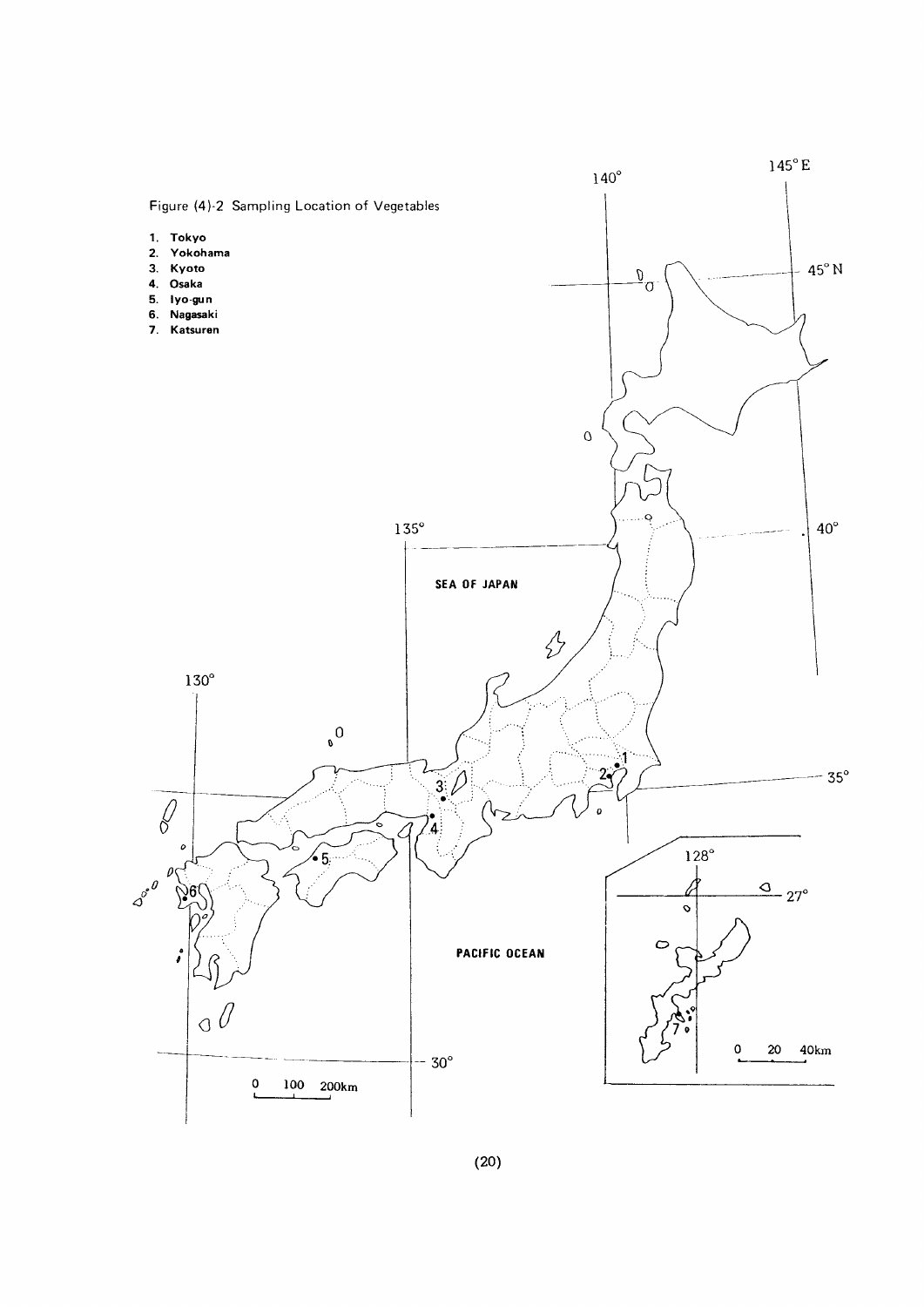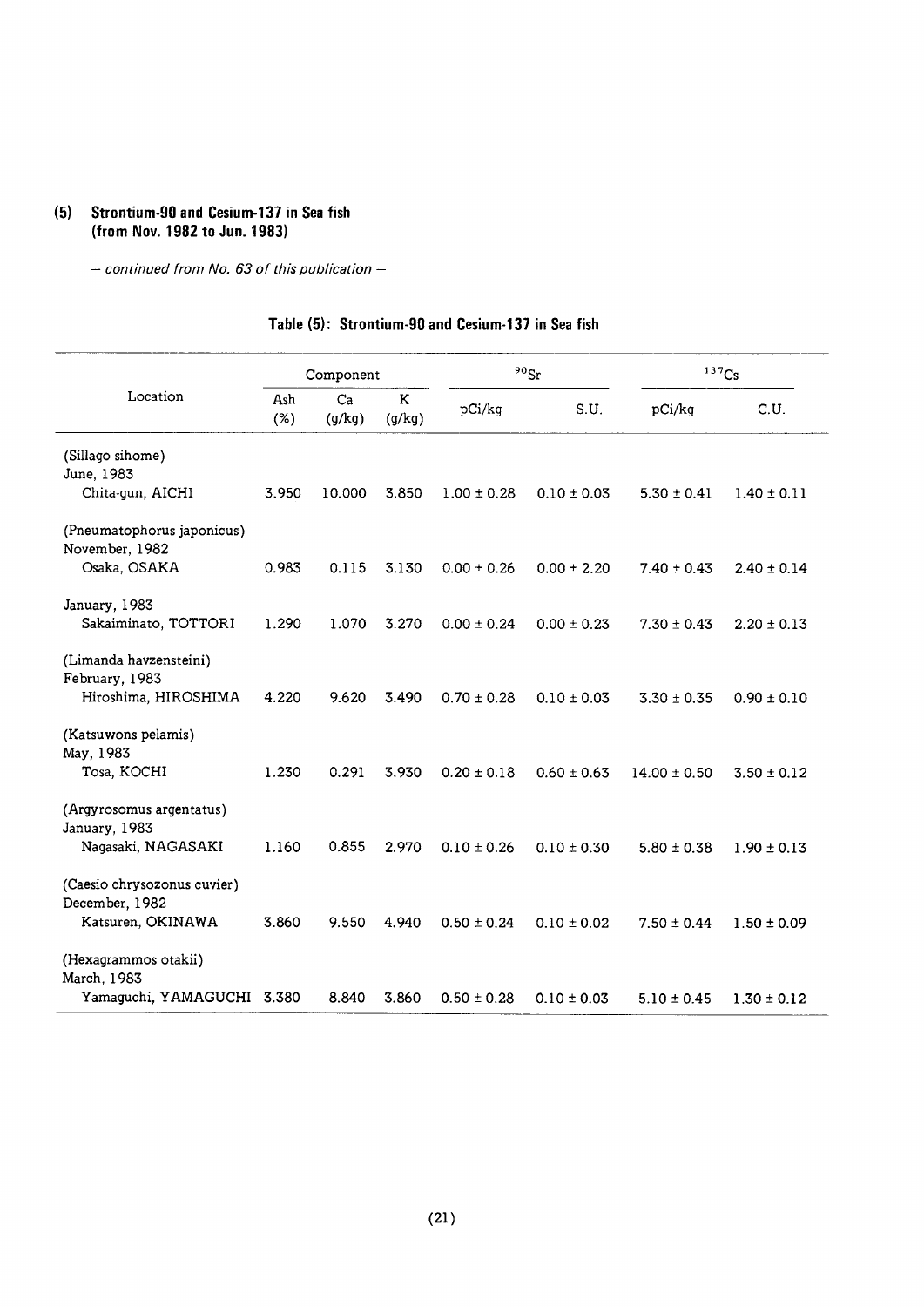#### (5) Strontium-90 and Cesium-137 in Sea fish (from Nov. 1982 to Jun. 1983)

- continued from No. 63 of this publication -

#### Table (5): Strontium-90 and Cesium-137 in Sea fish

|                                                                    | Component  |              |             | $^{90}\mathrm{Sr}$ | 137Cs           |                  |                 |
|--------------------------------------------------------------------|------------|--------------|-------------|--------------------|-----------------|------------------|-----------------|
| Location                                                           | Ash<br>(%) | Ca<br>(g/kg) | K<br>(g/kg) | pCi/kg             | S.U.            | pCi/kq           | C.U.            |
| (Sillago sihome)<br>June, 1983<br>Chita-gun, AICHI                 | 3.950      | 10.000       | 3.850       | $1.00 \pm 0.28$    | $0.10 \pm 0.03$ | $5.30 \pm 0.41$  | $1.40 \pm 0.11$ |
| (Pneumatophorus japonicus)<br>November, 1982<br>Osaka, OSAKA       | 0.983      | 0.115        | 3.130       | $0.00 \pm 0.26$    | $0.00 \pm 2.20$ | $7.40 \pm 0.43$  | $2.40 \pm 0.14$ |
| January, 1983<br>Sakaiminato, TOTTORI                              | 1.290      | 1.070        | 3.270       | $0.00 \pm 0.24$    | $0.00 \pm 0.23$ | $7.30 \pm 0.43$  | $2.20 \pm 0.13$ |
| (Limanda havzensteini)<br>February, 1983<br>Hiroshima, HIROSHIMA   | 4.220      | 9.620        | 3.490       | $0.70 \pm 0.28$    | $0.10 \pm 0.03$ | $3.30 \pm 0.35$  | $0.90 \pm 0.10$ |
| (Katsuwons pelamis)<br>May, 1983<br>Tosa, KOCHI                    | 1.230      | 0.291        | 3.930       | $0.20 \pm 0.18$    | $0.60 \pm 0.63$ | $14.00 \pm 0.50$ | $3.50 \pm 0.12$ |
| (Argyrosomus argentatus)<br>January, 1983<br>Nagasaki, NAGASAKI    | 1.160      | 0.855        | 2.970       | $0.10 \pm 0.26$    | $0.10 \pm 0.30$ | $5.80 \pm 0.38$  | $1.90 \pm 0.13$ |
| (Caesio chrysozonus cuvier)<br>December, 1982<br>Katsuren, OKINAWA | 3.860      | 9.550        | 4.940       | $0.50 \pm 0.24$    | $0.10 \pm 0.02$ | $7.50 \pm 0.44$  | $1.50 \pm 0.09$ |
| (Hexagrammos otakii)<br>March, 1983<br>Yamaguchi, YAMAGUCHI 3.380  |            | 8.840        | 3.860       | $0.50 \pm 0.28$    | $0.10 \pm 0.03$ | $5.10 \pm 0.45$  | $1.30 \pm 0.12$ |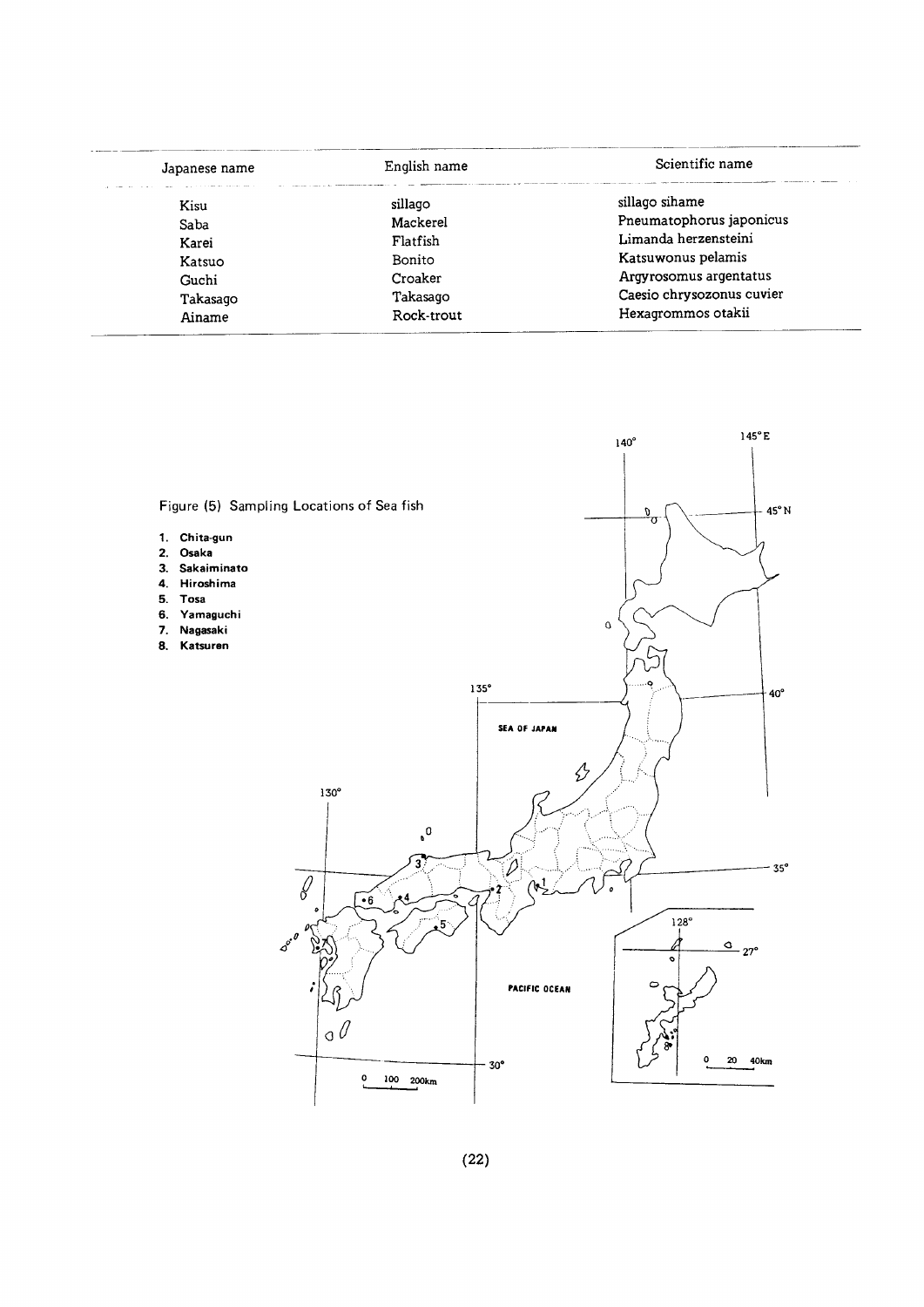| Japanese name | English name  | Scientific name           |  |
|---------------|---------------|---------------------------|--|
| Kisu          | sillago       | sillago sihame            |  |
| Saba          | Mackerel      | Pneumatophorus japonicus  |  |
| Karei         | Flatfish      | Limanda herzensteini      |  |
| Katsuo        | <b>Bonito</b> | Katsuwonus pelamis        |  |
| Guchi         | Croaker       | Argyrosomus argentatus    |  |
| Takasaqo      | Takasago      | Caesio chrysozonus cuvier |  |
| Ainame        | Rock-trout    | Hexagrommos otakii        |  |

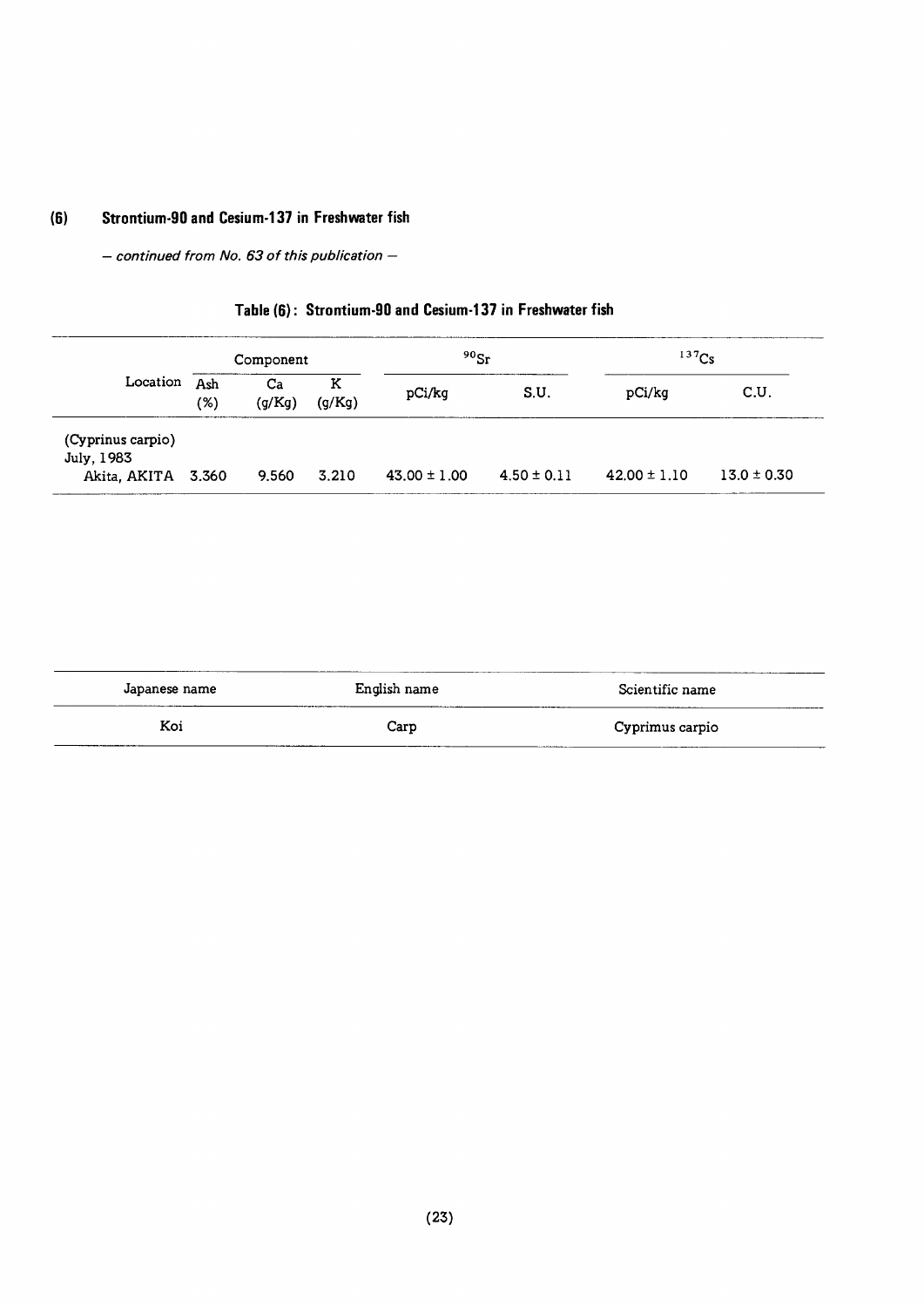## (6) Strontium-90 and Cesium-137 in Freshwater fish

 $-$  continued from No. 63 of this publication  $-$ 

## Table (6): Strontium-90 and Cesium-137 in Freshwater fish

|                                                       |            | Component    |             | $^{90}$ Sr       |                 | $137$ Cs         |                 |
|-------------------------------------------------------|------------|--------------|-------------|------------------|-----------------|------------------|-----------------|
| Location                                              | Ash<br>(%) | Ca<br>(g/Kg) | ĸ<br>(g/Kg) | pCi/kg           | S.U.            | pCi/kg           | C.U.            |
| (Cyprinus carpio)<br>July, 1983<br>Akita, AKITA 3.360 |            | 9.560        | 3.210       | $43.00 \pm 1.00$ | $4.50 \pm 0.11$ | $42.00 \pm 1.10$ | $13.0 \pm 0.30$ |

| Japanese name | English name<br>------ | Scientific name<br>_______ |
|---------------|------------------------|----------------------------|
| Koi           | Carp                   | Cyprimus carpio            |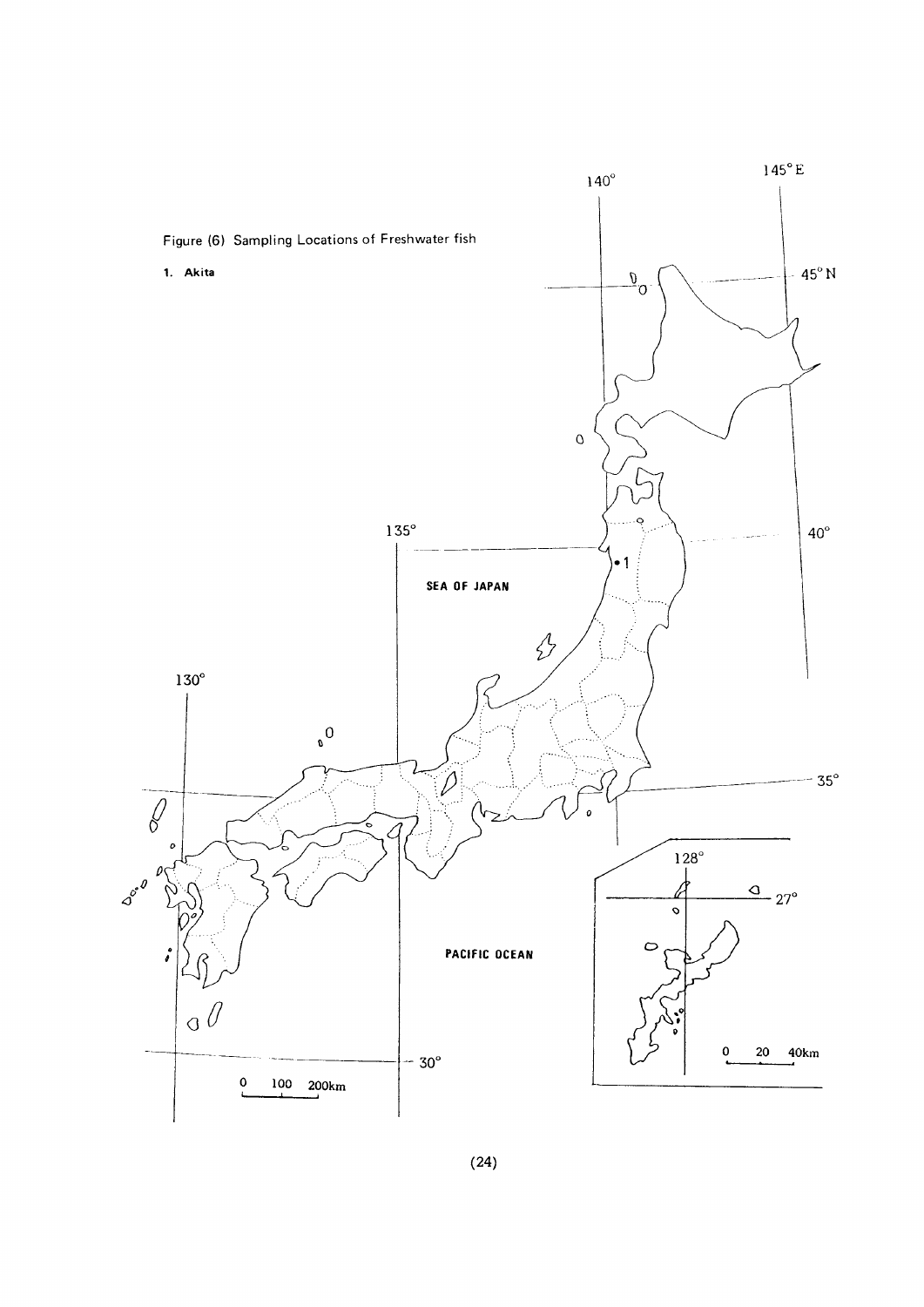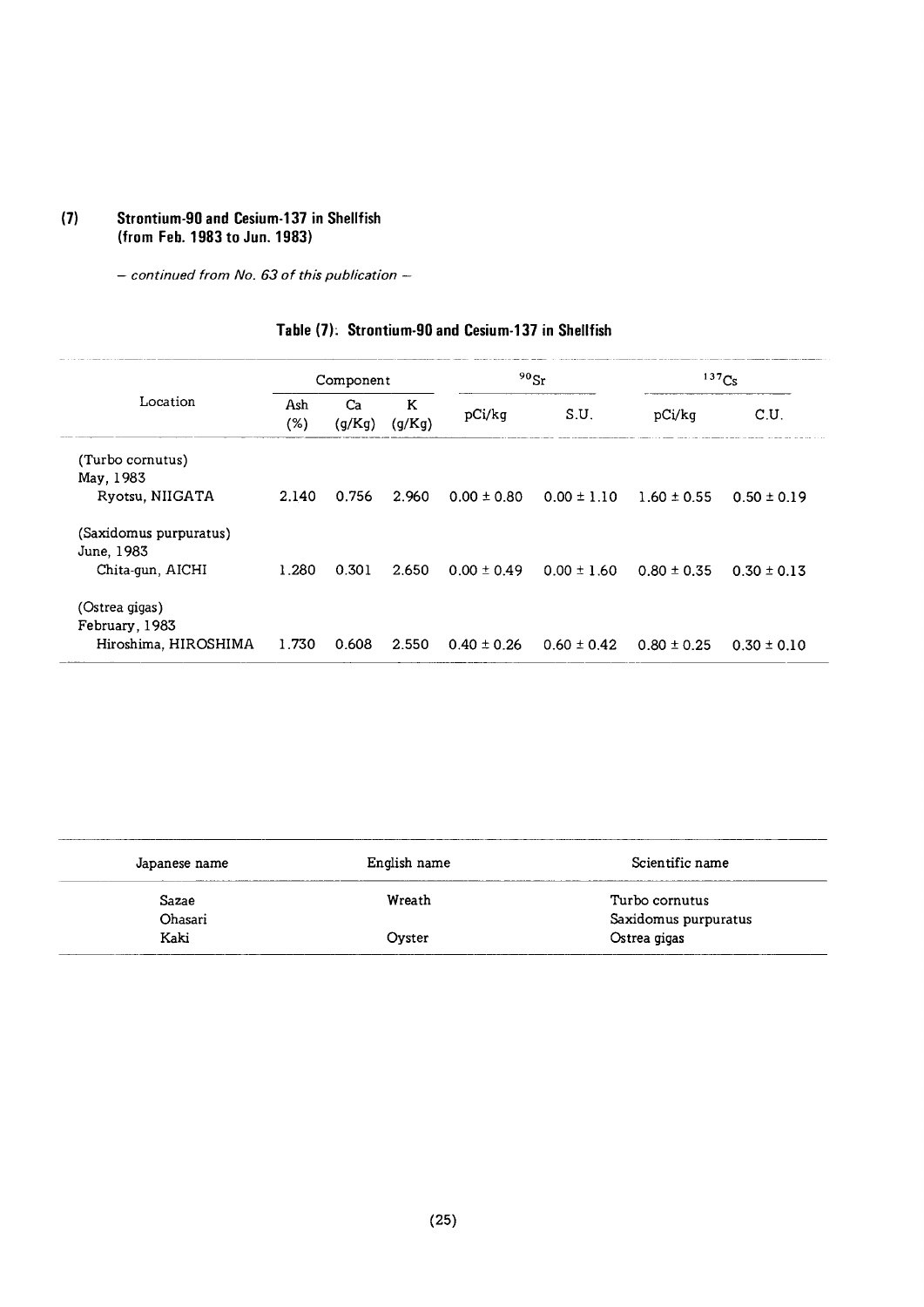#### (7) Strontium-90 and Cesium-137 in Sh (from Feb. 1983 to Jun. 1!

 $-$  continued from No. 63 of this publication  $-$ 

| Table (7): Strontium-90 and Cesium-137 in Shellfish |  |
|-----------------------------------------------------|--|
|-----------------------------------------------------|--|

|                                      |               | Component    |             | $90$ Sr         |                 | $137C_S$        |                 |
|--------------------------------------|---------------|--------------|-------------|-----------------|-----------------|-----------------|-----------------|
| Location                             | Ash<br>$(\%)$ | Ca<br>(g/Kg) | K<br>(g/Kg) | pCi/kg          | S.U.            | pCi/kg          | C.U.            |
| (Turbo cornutus)                     |               |              |             |                 |                 |                 |                 |
| May, 1983<br>Ryotsu, NIIGATA         | 2.140         | 0.756        | 2.960       | $0.00 \pm 0.80$ | $0.00 \pm 1.10$ | $1.60 \pm 0.55$ | $0.50 \pm 0.19$ |
| (Saxidomus purpuratus)<br>June, 1983 |               |              |             |                 |                 |                 |                 |
| Chita-gun, AICHI                     | 1.280         | 0.301        | 2.650       | $0.00 \pm 0.49$ | $0.00 \pm 1.60$ | $0.80 \pm 0.35$ | $0.30 \pm 0.13$ |
| (Ostrea gigas)<br>February, 1983     |               |              |             |                 |                 |                 |                 |
| Hiroshima, HIROSHIMA                 | 1.730         | 0.608        | 2.550       | $0.40 \pm 0.26$ | $0.60 \pm 0.42$ | $0.80 \pm 0.25$ | $0.30 \pm 0.10$ |

| Japanese name | English name | Scientific name      |
|---------------|--------------|----------------------|
| Sazae         | Wreath       | Turbo cornutus       |
| Ohasari       |              | Saxidomus purpuratus |
| Kaki          | Ovster       | Ostrea gigas         |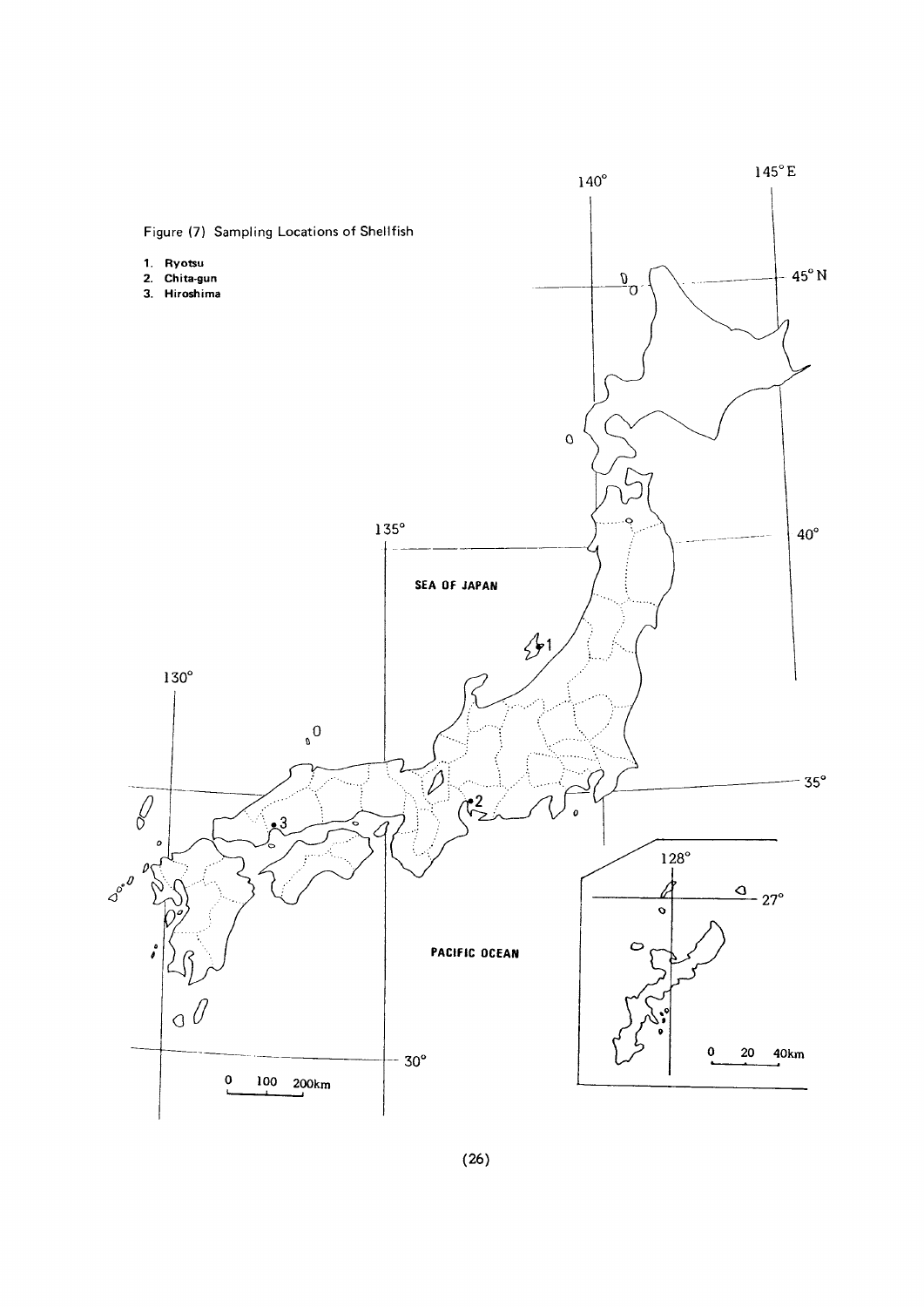

 $(26)$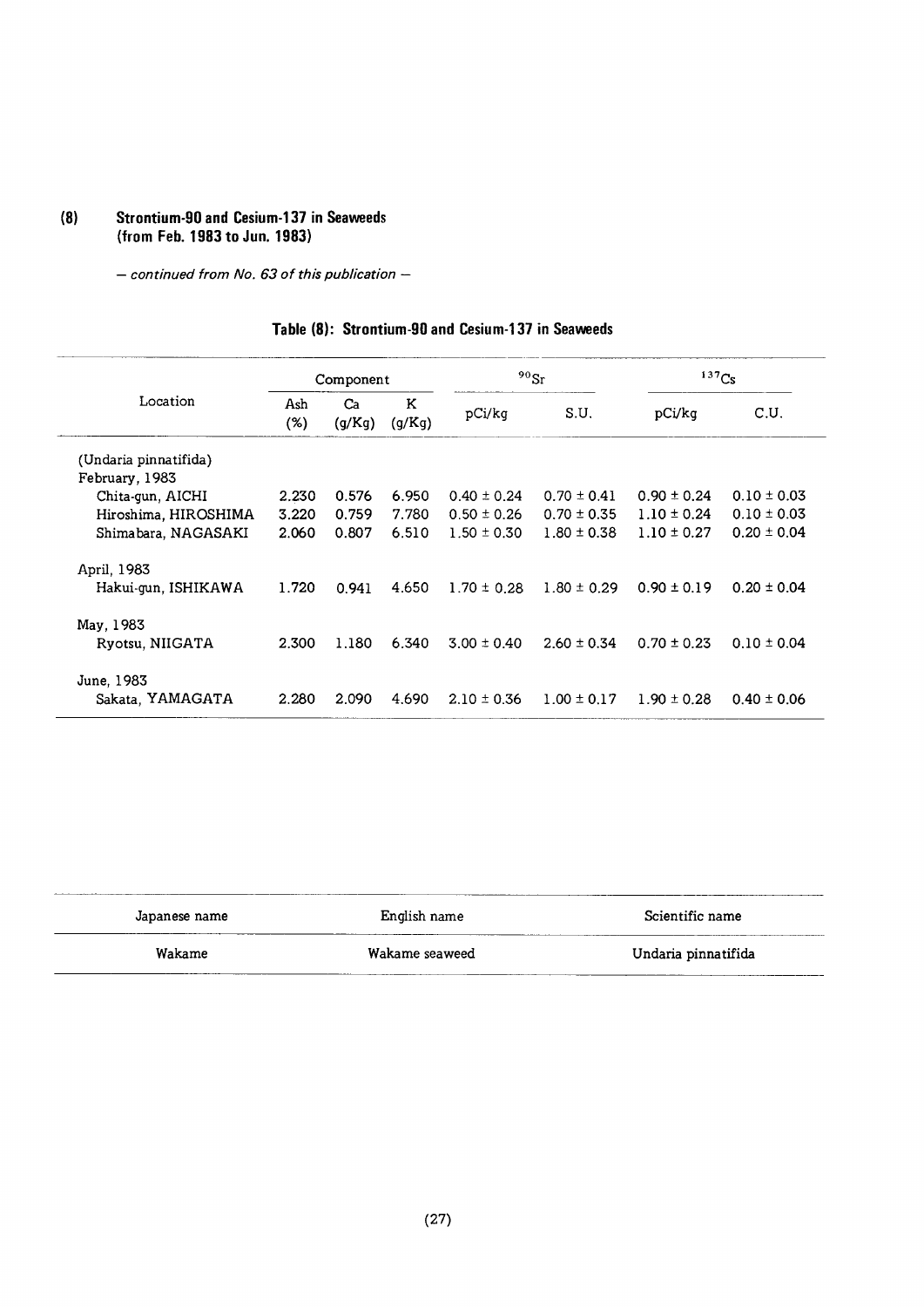#### (8) Strontium・90andCesium・137inSeaweeds (fromFeb.1983toJun.1983)

- continued from No. 63 of this publication -

|                       | Component  |              |             | $90$ Sr         |                 | 137Cs           |                 |
|-----------------------|------------|--------------|-------------|-----------------|-----------------|-----------------|-----------------|
| Location              | Ash<br>(%) | Ca<br>(g/Kg) | K<br>(g/Kg) | pCi/kg          | S.U.            | pCi/kg          | C.U.            |
| (Undaria pinnatifida) |            |              |             |                 |                 |                 |                 |
| February, 1983        |            |              |             |                 |                 |                 |                 |
| Chita-gun, AICHI      | 2.230      | 0.576        | 6.950       | $0.40 \pm 0.24$ | $0.70 \pm 0.41$ | $0.90 \pm 0.24$ | $0.10 \pm 0.03$ |
| Hiroshima, HIROSHIMA  | 3.220      | 0.759        | 7.780       | $0.50 \pm 0.26$ | $0.70 \pm 0.35$ | $1.10 \pm 0.24$ | $0.10 \pm 0.03$ |
| Shimabara, NAGASAKI   | 2.060      | 0.807        | 6.510       | $1.50 \pm 0.30$ | $1.80 \pm 0.38$ | $1.10 \pm 0.27$ | $0.20 \pm 0.04$ |
| April, 1983           |            |              |             |                 |                 |                 |                 |
| Hakui-gun, ISHIKAWA   | 1.720      | 0.941        | 4.650       | $1.70 \pm 0.28$ | $1.80 \pm 0.29$ | $0.90 \pm 0.19$ | $0.20 \pm 0.04$ |
| May, 1983             |            |              |             |                 |                 |                 |                 |
| Ryotsu, NIIGATA       | 2.300      | 1.180        | 6.340       | $3.00 \pm 0.40$ | $2.60 \pm 0.34$ | $0.70 \pm 0.23$ | $0.10 \pm 0.04$ |
| June, 1983            |            |              |             |                 |                 |                 |                 |
| Sakata, YAMAGATA      | 2.280      | 2.090        | 4.690       | $2.10 \pm 0.36$ | $1.00 \pm 0.17$ | $1.90 \pm 0.28$ | $0.40 \pm 0.06$ |

#### Table (8): Strontium-90 and Cesium-137 in Seaweeds

| Japanese name | English name   | Scientific name     |
|---------------|----------------|---------------------|
| Wakame        | Wakame seaweed | Undaria pinnatifida |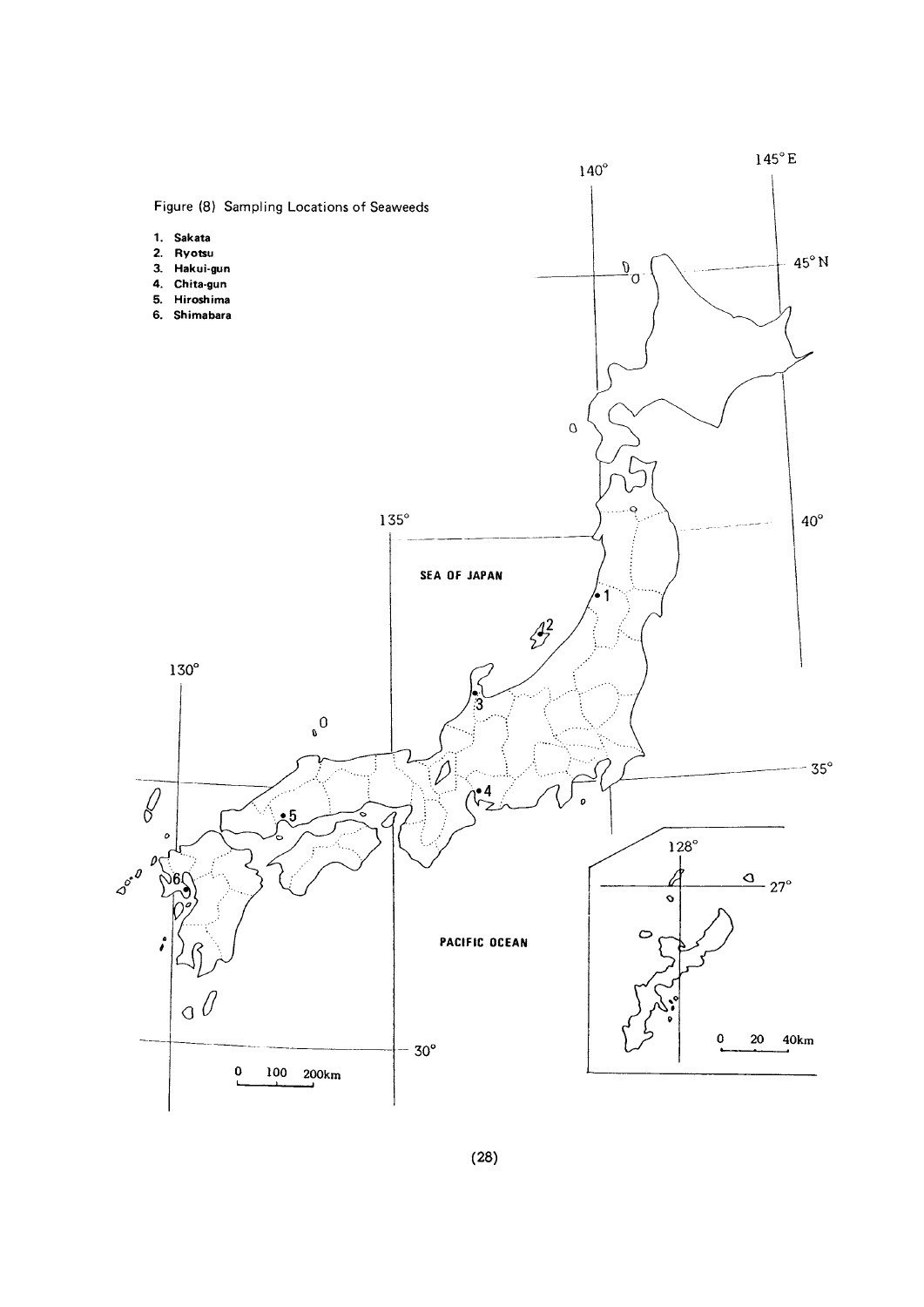